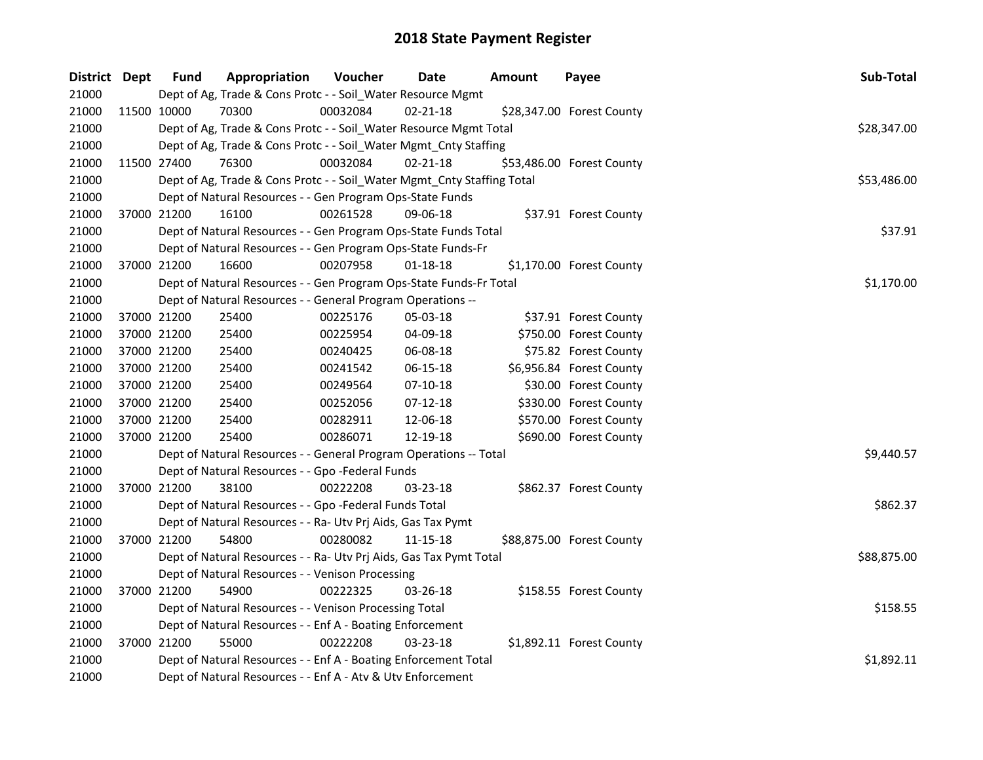| District Dept | <b>Fund</b> | Appropriation                                                          | Voucher  | Date           | <b>Amount</b> | Payee                     | Sub-Total   |
|---------------|-------------|------------------------------------------------------------------------|----------|----------------|---------------|---------------------------|-------------|
| 21000         |             | Dept of Ag, Trade & Cons Protc - - Soil_Water Resource Mgmt            |          |                |               |                           |             |
| 21000         | 11500 10000 | 70300                                                                  | 00032084 | $02 - 21 - 18$ |               | \$28,347.00 Forest County |             |
| 21000         |             | Dept of Ag, Trade & Cons Protc - - Soil_Water Resource Mgmt Total      |          |                |               |                           | \$28,347.00 |
| 21000         |             | Dept of Ag, Trade & Cons Protc - - Soil_Water Mgmt_Cnty Staffing       |          |                |               |                           |             |
| 21000         | 11500 27400 | 76300                                                                  | 00032084 | $02 - 21 - 18$ |               | \$53,486.00 Forest County |             |
| 21000         |             | Dept of Ag, Trade & Cons Protc - - Soil_Water Mgmt_Cnty Staffing Total |          |                |               |                           | \$53,486.00 |
| 21000         |             | Dept of Natural Resources - - Gen Program Ops-State Funds              |          |                |               |                           |             |
| 21000         | 37000 21200 | 16100                                                                  | 00261528 | 09-06-18       |               | \$37.91 Forest County     |             |
| 21000         |             | Dept of Natural Resources - - Gen Program Ops-State Funds Total        |          |                |               |                           | \$37.91     |
| 21000         |             | Dept of Natural Resources - - Gen Program Ops-State Funds-Fr           |          |                |               |                           |             |
| 21000         | 37000 21200 | 16600                                                                  | 00207958 | $01 - 18 - 18$ |               | \$1,170.00 Forest County  |             |
| 21000         |             | Dept of Natural Resources - - Gen Program Ops-State Funds-Fr Total     |          |                |               |                           | \$1,170.00  |
| 21000         |             | Dept of Natural Resources - - General Program Operations --            |          |                |               |                           |             |
| 21000         | 37000 21200 | 25400                                                                  | 00225176 | 05-03-18       |               | \$37.91 Forest County     |             |
| 21000         | 37000 21200 | 25400                                                                  | 00225954 | 04-09-18       |               | \$750.00 Forest County    |             |
| 21000         | 37000 21200 | 25400                                                                  | 00240425 | 06-08-18       |               | \$75.82 Forest County     |             |
| 21000         | 37000 21200 | 25400                                                                  | 00241542 | 06-15-18       |               | \$6,956.84 Forest County  |             |
| 21000         | 37000 21200 | 25400                                                                  | 00249564 | $07-10-18$     |               | \$30.00 Forest County     |             |
| 21000         | 37000 21200 | 25400                                                                  | 00252056 | 07-12-18       |               | \$330.00 Forest County    |             |
| 21000         | 37000 21200 | 25400                                                                  | 00282911 | 12-06-18       |               | \$570.00 Forest County    |             |
| 21000         | 37000 21200 | 25400                                                                  | 00286071 | 12-19-18       |               | \$690.00 Forest County    |             |
| 21000         |             | Dept of Natural Resources - - General Program Operations -- Total      |          |                |               |                           | \$9,440.57  |
| 21000         |             | Dept of Natural Resources - - Gpo -Federal Funds                       |          |                |               |                           |             |
| 21000         | 37000 21200 | 38100                                                                  | 00222208 | 03-23-18       |               | \$862.37 Forest County    |             |
| 21000         |             | Dept of Natural Resources - - Gpo -Federal Funds Total                 |          |                |               |                           | \$862.37    |
| 21000         |             | Dept of Natural Resources - - Ra- Utv Prj Aids, Gas Tax Pymt           |          |                |               |                           |             |
| 21000         | 37000 21200 | 54800                                                                  | 00280082 | 11-15-18       |               | \$88,875.00 Forest County |             |
| 21000         |             | Dept of Natural Resources - - Ra- Utv Prj Aids, Gas Tax Pymt Total     |          |                |               |                           | \$88,875.00 |
| 21000         |             | Dept of Natural Resources - - Venison Processing                       |          |                |               |                           |             |
| 21000         | 37000 21200 | 54900                                                                  | 00222325 | 03-26-18       |               | \$158.55 Forest County    |             |
| 21000         |             | Dept of Natural Resources - - Venison Processing Total                 |          |                |               |                           | \$158.55    |
| 21000         |             | Dept of Natural Resources - - Enf A - Boating Enforcement              |          |                |               |                           |             |
| 21000         | 37000 21200 | 55000                                                                  | 00222208 | 03-23-18       |               | \$1,892.11 Forest County  |             |
| 21000         |             | Dept of Natural Resources - - Enf A - Boating Enforcement Total        |          |                |               |                           | \$1,892.11  |
| 21000         |             | Dept of Natural Resources - - Enf A - Atv & Utv Enforcement            |          |                |               |                           |             |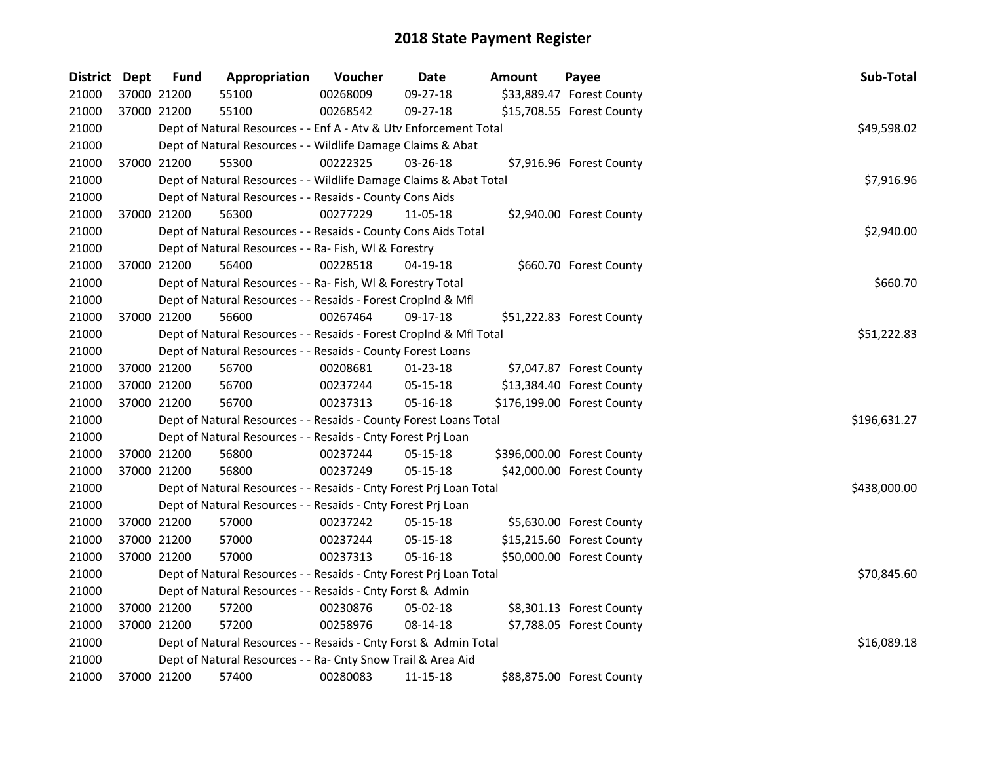| District Dept |             | <b>Fund</b> | Appropriation                                                      | Voucher  | <b>Date</b>    | Amount | Payee                      | Sub-Total    |
|---------------|-------------|-------------|--------------------------------------------------------------------|----------|----------------|--------|----------------------------|--------------|
| 21000         |             | 37000 21200 | 55100                                                              | 00268009 | 09-27-18       |        | \$33,889.47 Forest County  |              |
| 21000         |             | 37000 21200 | 55100                                                              | 00268542 | 09-27-18       |        | \$15,708.55 Forest County  |              |
| 21000         |             |             | Dept of Natural Resources - - Enf A - Atv & Utv Enforcement Total  |          |                |        |                            | \$49,598.02  |
| 21000         |             |             | Dept of Natural Resources - - Wildlife Damage Claims & Abat        |          |                |        |                            |              |
| 21000         |             | 37000 21200 | 55300                                                              | 00222325 | 03-26-18       |        | \$7,916.96 Forest County   |              |
| 21000         |             |             | Dept of Natural Resources - - Wildlife Damage Claims & Abat Total  |          |                |        |                            | \$7,916.96   |
| 21000         |             |             | Dept of Natural Resources - - Resaids - County Cons Aids           |          |                |        |                            |              |
| 21000         |             | 37000 21200 | 56300                                                              | 00277229 | 11-05-18       |        | \$2,940.00 Forest County   |              |
| 21000         |             |             | Dept of Natural Resources - - Resaids - County Cons Aids Total     |          |                |        |                            | \$2,940.00   |
| 21000         |             |             | Dept of Natural Resources - - Ra- Fish, WI & Forestry              |          |                |        |                            |              |
| 21000         |             | 37000 21200 | 56400                                                              | 00228518 | 04-19-18       |        | \$660.70 Forest County     |              |
| 21000         |             |             | Dept of Natural Resources - - Ra- Fish, WI & Forestry Total        |          |                |        |                            | \$660.70     |
| 21000         |             |             | Dept of Natural Resources - - Resaids - Forest Croplnd & Mfl       |          |                |        |                            |              |
| 21000         |             | 37000 21200 | 56600                                                              | 00267464 | 09-17-18       |        | \$51,222.83 Forest County  |              |
| 21000         |             |             | Dept of Natural Resources - - Resaids - Forest CropInd & Mfl Total |          |                |        |                            | \$51,222.83  |
| 21000         |             |             | Dept of Natural Resources - - Resaids - County Forest Loans        |          |                |        |                            |              |
| 21000         |             | 37000 21200 | 56700                                                              | 00208681 | $01 - 23 - 18$ |        | \$7,047.87 Forest County   |              |
| 21000         | 37000 21200 |             | 56700                                                              | 00237244 | 05-15-18       |        | \$13,384.40 Forest County  |              |
| 21000         |             | 37000 21200 | 56700                                                              | 00237313 | 05-16-18       |        | \$176,199.00 Forest County |              |
| 21000         |             |             | Dept of Natural Resources - - Resaids - County Forest Loans Total  |          |                |        |                            | \$196,631.27 |
| 21000         |             |             | Dept of Natural Resources - - Resaids - Cnty Forest Prj Loan       |          |                |        |                            |              |
| 21000         |             | 37000 21200 | 56800                                                              | 00237244 | $05 - 15 - 18$ |        | \$396,000.00 Forest County |              |
| 21000         | 37000 21200 |             | 56800                                                              | 00237249 | 05-15-18       |        | \$42,000.00 Forest County  |              |
| 21000         |             |             | Dept of Natural Resources - - Resaids - Cnty Forest Prj Loan Total |          |                |        |                            | \$438,000.00 |
| 21000         |             |             | Dept of Natural Resources - - Resaids - Cnty Forest Prj Loan       |          |                |        |                            |              |
| 21000         |             | 37000 21200 | 57000                                                              | 00237242 | 05-15-18       |        | \$5,630.00 Forest County   |              |
| 21000         |             | 37000 21200 | 57000                                                              | 00237244 | 05-15-18       |        | \$15,215.60 Forest County  |              |
| 21000         |             | 37000 21200 | 57000                                                              | 00237313 | 05-16-18       |        | \$50,000.00 Forest County  |              |
| 21000         |             |             | Dept of Natural Resources - - Resaids - Cnty Forest Prj Loan Total |          |                |        |                            | \$70,845.60  |
| 21000         |             |             | Dept of Natural Resources - - Resaids - Cnty Forst & Admin         |          |                |        |                            |              |
| 21000         |             | 37000 21200 | 57200                                                              | 00230876 | 05-02-18       |        | \$8,301.13 Forest County   |              |
| 21000         |             | 37000 21200 | 57200                                                              | 00258976 | 08-14-18       |        | \$7,788.05 Forest County   |              |
| 21000         |             |             | Dept of Natural Resources - - Resaids - Cnty Forst & Admin Total   |          |                |        |                            | \$16,089.18  |
| 21000         |             |             | Dept of Natural Resources - - Ra- Cnty Snow Trail & Area Aid       |          |                |        |                            |              |
| 21000         |             | 37000 21200 | 57400                                                              | 00280083 | 11-15-18       |        | \$88,875.00 Forest County  |              |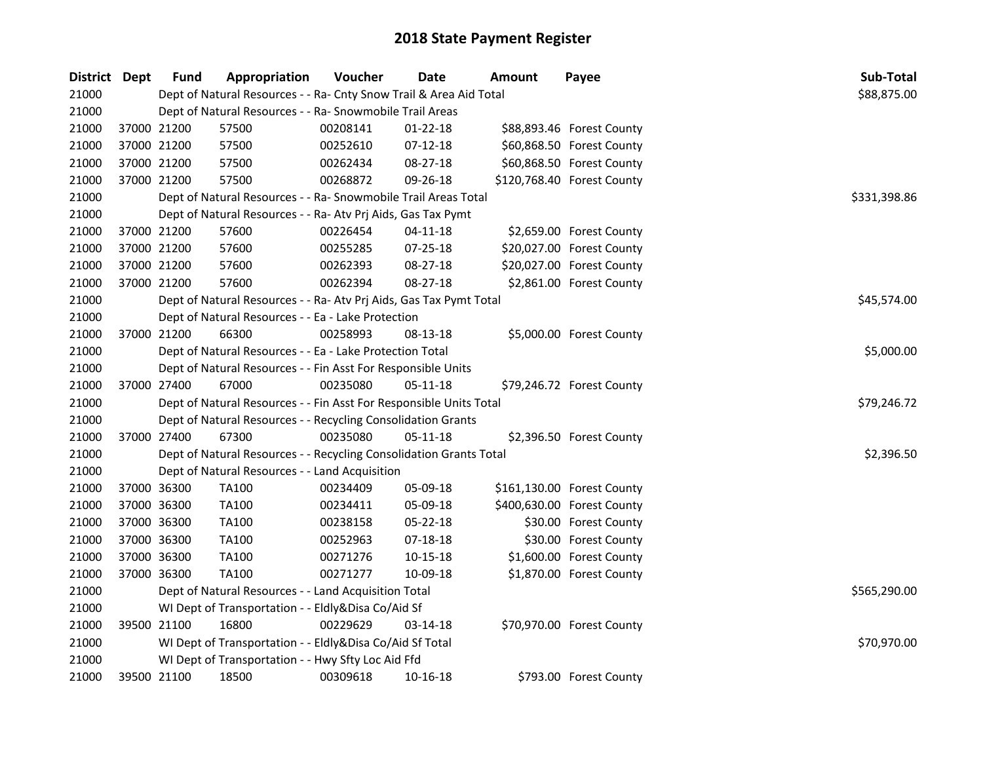| District Dept |             | <b>Fund</b> | Appropriation                                                      | Voucher  | <b>Date</b>    | Amount | Payee                      | Sub-Total    |  |  |  |
|---------------|-------------|-------------|--------------------------------------------------------------------|----------|----------------|--------|----------------------------|--------------|--|--|--|
| 21000         |             |             | Dept of Natural Resources - - Ra- Cnty Snow Trail & Area Aid Total |          |                |        |                            | \$88,875.00  |  |  |  |
| 21000         |             |             | Dept of Natural Resources - - Ra- Snowmobile Trail Areas           |          |                |        |                            |              |  |  |  |
| 21000         | 37000 21200 |             | 57500                                                              | 00208141 | $01 - 22 - 18$ |        | \$88,893.46 Forest County  |              |  |  |  |
| 21000         | 37000 21200 |             | 57500                                                              | 00252610 | $07-12-18$     |        | \$60,868.50 Forest County  |              |  |  |  |
| 21000         | 37000 21200 |             | 57500                                                              | 00262434 | 08-27-18       |        | \$60,868.50 Forest County  |              |  |  |  |
| 21000         | 37000 21200 |             | 57500                                                              | 00268872 | 09-26-18       |        | \$120,768.40 Forest County |              |  |  |  |
| 21000         |             |             | Dept of Natural Resources - - Ra- Snowmobile Trail Areas Total     |          |                |        |                            | \$331,398.86 |  |  |  |
| 21000         |             |             | Dept of Natural Resources - - Ra- Atv Prj Aids, Gas Tax Pymt       |          |                |        |                            |              |  |  |  |
| 21000         |             | 37000 21200 | 57600                                                              | 00226454 | $04 - 11 - 18$ |        | \$2,659.00 Forest County   |              |  |  |  |
| 21000         | 37000 21200 |             | 57600                                                              | 00255285 | 07-25-18       |        | \$20,027.00 Forest County  |              |  |  |  |
| 21000         | 37000 21200 |             | 57600                                                              | 00262393 | 08-27-18       |        | \$20,027.00 Forest County  |              |  |  |  |
| 21000         | 37000 21200 |             | 57600                                                              | 00262394 | 08-27-18       |        | \$2,861.00 Forest County   |              |  |  |  |
| 21000         |             |             | Dept of Natural Resources - - Ra- Atv Prj Aids, Gas Tax Pymt Total |          |                |        |                            | \$45,574.00  |  |  |  |
| 21000         |             |             | Dept of Natural Resources - - Ea - Lake Protection                 |          |                |        |                            |              |  |  |  |
| 21000         | 37000 21200 |             | 66300                                                              | 00258993 | 08-13-18       |        | \$5,000.00 Forest County   |              |  |  |  |
| 21000         |             |             | Dept of Natural Resources - - Ea - Lake Protection Total           |          |                |        |                            |              |  |  |  |
| 21000         |             |             | Dept of Natural Resources - - Fin Asst For Responsible Units       |          |                |        |                            |              |  |  |  |
| 21000         | 37000 27400 |             | 67000                                                              | 00235080 | 05-11-18       |        | \$79,246.72 Forest County  |              |  |  |  |
| 21000         |             |             | Dept of Natural Resources - - Fin Asst For Responsible Units Total |          |                |        |                            | \$79,246.72  |  |  |  |
| 21000         |             |             | Dept of Natural Resources - - Recycling Consolidation Grants       |          |                |        |                            |              |  |  |  |
| 21000         | 37000 27400 |             | 67300                                                              | 00235080 | 05-11-18       |        | \$2,396.50 Forest County   |              |  |  |  |
| 21000         |             |             | Dept of Natural Resources - - Recycling Consolidation Grants Total |          |                |        |                            | \$2,396.50   |  |  |  |
| 21000         |             |             | Dept of Natural Resources - - Land Acquisition                     |          |                |        |                            |              |  |  |  |
| 21000         | 37000 36300 |             | <b>TA100</b>                                                       | 00234409 | 05-09-18       |        | \$161,130.00 Forest County |              |  |  |  |
| 21000         | 37000 36300 |             | TA100                                                              | 00234411 | 05-09-18       |        | \$400,630.00 Forest County |              |  |  |  |
| 21000         | 37000 36300 |             | <b>TA100</b>                                                       | 00238158 | 05-22-18       |        | \$30.00 Forest County      |              |  |  |  |
| 21000         | 37000 36300 |             | <b>TA100</b>                                                       | 00252963 | 07-18-18       |        | \$30.00 Forest County      |              |  |  |  |
| 21000         | 37000 36300 |             | <b>TA100</b>                                                       | 00271276 | $10 - 15 - 18$ |        | \$1,600.00 Forest County   |              |  |  |  |
| 21000         | 37000 36300 |             | <b>TA100</b>                                                       | 00271277 | 10-09-18       |        | \$1,870.00 Forest County   |              |  |  |  |
| 21000         |             |             | Dept of Natural Resources - - Land Acquisition Total               |          |                |        |                            | \$565,290.00 |  |  |  |
| 21000         |             |             | WI Dept of Transportation - - Eldly&Disa Co/Aid Sf                 |          |                |        |                            |              |  |  |  |
| 21000         | 39500 21100 |             | 16800                                                              | 00229629 | 03-14-18       |        | \$70,970.00 Forest County  |              |  |  |  |
| 21000         |             |             | WI Dept of Transportation - - Eldly&Disa Co/Aid Sf Total           |          |                |        |                            | \$70,970.00  |  |  |  |
| 21000         |             |             | WI Dept of Transportation - - Hwy Sfty Loc Aid Ffd                 |          |                |        |                            |              |  |  |  |
| 21000         | 39500 21100 |             | 18500                                                              | 00309618 | 10-16-18       |        | \$793.00 Forest County     |              |  |  |  |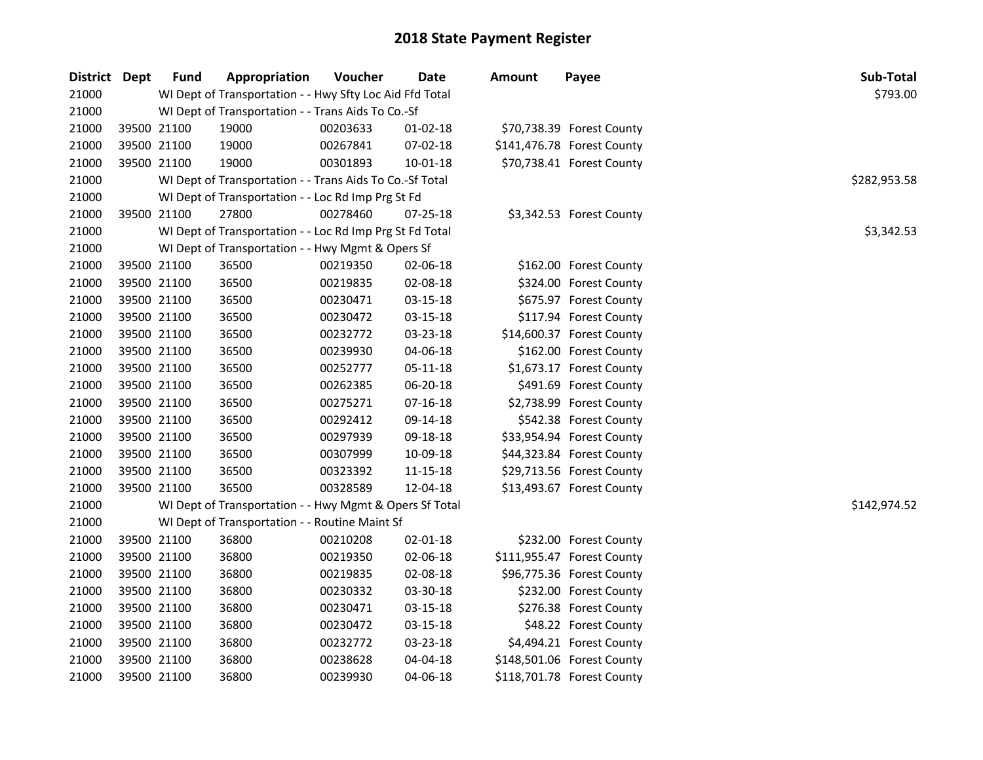| District Dept |             | <b>Fund</b> | Appropriation                                            | Voucher  | Date           | <b>Amount</b> | Payee                      | Sub-Total    |  |  |  |  |
|---------------|-------------|-------------|----------------------------------------------------------|----------|----------------|---------------|----------------------------|--------------|--|--|--|--|
| 21000         |             |             | WI Dept of Transportation - - Hwy Sfty Loc Aid Ffd Total |          |                |               |                            | \$793.00     |  |  |  |  |
| 21000         |             |             | WI Dept of Transportation - - Trans Aids To Co.-Sf       |          |                |               |                            |              |  |  |  |  |
| 21000         |             | 39500 21100 | 19000                                                    | 00203633 | 01-02-18       |               | \$70,738.39 Forest County  |              |  |  |  |  |
| 21000         |             | 39500 21100 | 19000                                                    | 00267841 | 07-02-18       |               | \$141,476.78 Forest County |              |  |  |  |  |
| 21000         | 39500 21100 |             | 19000                                                    | 00301893 | $10 - 01 - 18$ |               | \$70,738.41 Forest County  |              |  |  |  |  |
| 21000         |             |             | WI Dept of Transportation - - Trans Aids To Co.-Sf Total |          |                |               |                            | \$282,953.58 |  |  |  |  |
| 21000         |             |             | WI Dept of Transportation - - Loc Rd Imp Prg St Fd       |          |                |               |                            |              |  |  |  |  |
| 21000         |             | 39500 21100 | 27800                                                    | 00278460 | 07-25-18       |               | \$3,342.53 Forest County   |              |  |  |  |  |
| 21000         |             |             | WI Dept of Transportation - - Loc Rd Imp Prg St Fd Total |          |                |               |                            | \$3,342.53   |  |  |  |  |
| 21000         |             |             | WI Dept of Transportation - - Hwy Mgmt & Opers Sf        |          |                |               |                            |              |  |  |  |  |
| 21000         |             | 39500 21100 | 36500                                                    | 00219350 | 02-06-18       |               | \$162.00 Forest County     |              |  |  |  |  |
| 21000         |             | 39500 21100 | 36500                                                    | 00219835 | 02-08-18       |               | \$324.00 Forest County     |              |  |  |  |  |
| 21000         |             | 39500 21100 | 36500                                                    | 00230471 | 03-15-18       |               | \$675.97 Forest County     |              |  |  |  |  |
| 21000         |             | 39500 21100 | 36500                                                    | 00230472 | 03-15-18       |               | \$117.94 Forest County     |              |  |  |  |  |
| 21000         |             | 39500 21100 | 36500                                                    | 00232772 | 03-23-18       |               | \$14,600.37 Forest County  |              |  |  |  |  |
| 21000         |             | 39500 21100 | 36500                                                    | 00239930 | 04-06-18       |               | \$162.00 Forest County     |              |  |  |  |  |
| 21000         |             | 39500 21100 | 36500                                                    | 00252777 | 05-11-18       |               | \$1,673.17 Forest County   |              |  |  |  |  |
| 21000         |             | 39500 21100 | 36500                                                    | 00262385 | 06-20-18       |               | \$491.69 Forest County     |              |  |  |  |  |
| 21000         |             | 39500 21100 | 36500                                                    | 00275271 | 07-16-18       |               | \$2,738.99 Forest County   |              |  |  |  |  |
| 21000         |             | 39500 21100 | 36500                                                    | 00292412 | 09-14-18       |               | \$542.38 Forest County     |              |  |  |  |  |
| 21000         |             | 39500 21100 | 36500                                                    | 00297939 | 09-18-18       |               | \$33,954.94 Forest County  |              |  |  |  |  |
| 21000         |             | 39500 21100 | 36500                                                    | 00307999 | 10-09-18       |               | \$44,323.84 Forest County  |              |  |  |  |  |
| 21000         |             | 39500 21100 | 36500                                                    | 00323392 | $11 - 15 - 18$ |               | \$29,713.56 Forest County  |              |  |  |  |  |
| 21000         | 39500 21100 |             | 36500                                                    | 00328589 | 12-04-18       |               | \$13,493.67 Forest County  |              |  |  |  |  |
| 21000         |             |             | WI Dept of Transportation - - Hwy Mgmt & Opers Sf Total  |          |                |               |                            | \$142,974.52 |  |  |  |  |
| 21000         |             |             | WI Dept of Transportation - - Routine Maint Sf           |          |                |               |                            |              |  |  |  |  |
| 21000         |             | 39500 21100 | 36800                                                    | 00210208 | 02-01-18       |               | \$232.00 Forest County     |              |  |  |  |  |
| 21000         |             | 39500 21100 | 36800                                                    | 00219350 | 02-06-18       |               | \$111,955.47 Forest County |              |  |  |  |  |
| 21000         |             | 39500 21100 | 36800                                                    | 00219835 | 02-08-18       |               | \$96,775.36 Forest County  |              |  |  |  |  |
| 21000         |             | 39500 21100 | 36800                                                    | 00230332 | 03-30-18       |               | \$232.00 Forest County     |              |  |  |  |  |
| 21000         |             | 39500 21100 | 36800                                                    | 00230471 | 03-15-18       |               | \$276.38 Forest County     |              |  |  |  |  |
| 21000         |             | 39500 21100 | 36800                                                    | 00230472 | 03-15-18       |               | \$48.22 Forest County      |              |  |  |  |  |
| 21000         |             | 39500 21100 | 36800                                                    | 00232772 | 03-23-18       |               | \$4,494.21 Forest County   |              |  |  |  |  |
| 21000         |             | 39500 21100 | 36800                                                    | 00238628 | 04-04-18       |               | \$148,501.06 Forest County |              |  |  |  |  |
| 21000         | 39500 21100 |             | 36800                                                    | 00239930 | 04-06-18       |               | \$118,701.78 Forest County |              |  |  |  |  |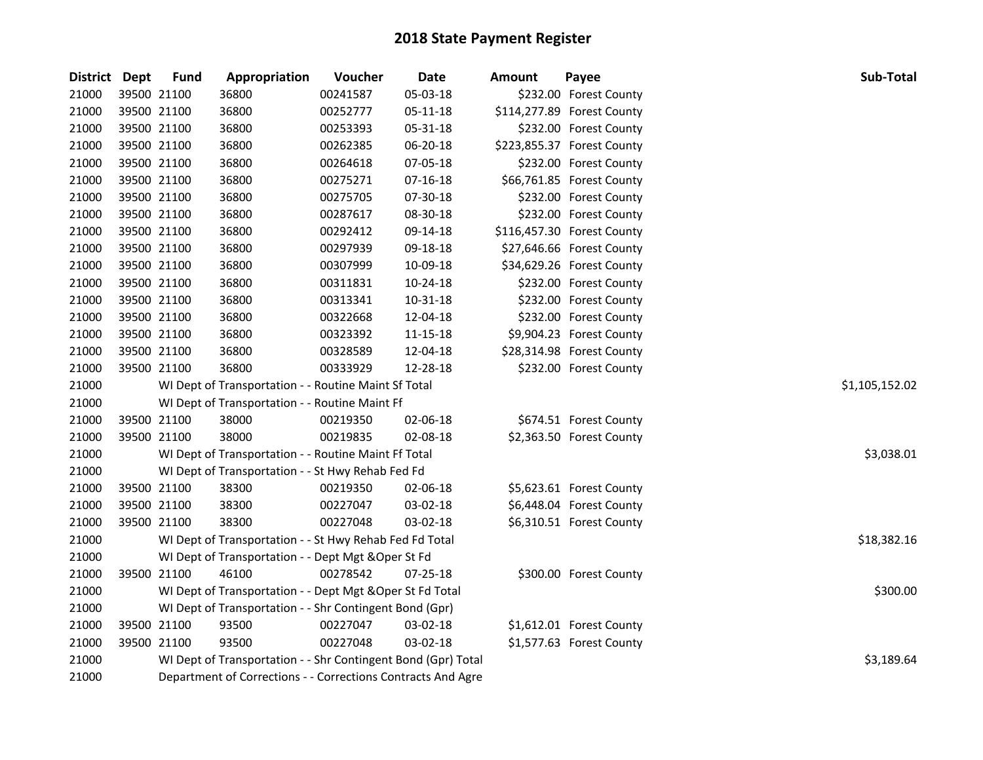| <b>District</b> | Dept        | <b>Fund</b> | Appropriation                                                 | Voucher        | Date     | <b>Amount</b> | Payee                      | Sub-Total   |
|-----------------|-------------|-------------|---------------------------------------------------------------|----------------|----------|---------------|----------------------------|-------------|
| 21000           | 39500 21100 |             | 36800                                                         | 00241587       | 05-03-18 |               | \$232.00 Forest County     |             |
| 21000           | 39500 21100 |             | 36800                                                         | 00252777       | 05-11-18 |               | \$114,277.89 Forest County |             |
| 21000           | 39500 21100 |             | 36800                                                         | 00253393       | 05-31-18 |               | \$232.00 Forest County     |             |
| 21000           | 39500 21100 |             | 36800                                                         | 00262385       | 06-20-18 |               | \$223,855.37 Forest County |             |
| 21000           | 39500 21100 |             | 36800                                                         | 00264618       | 07-05-18 |               | \$232.00 Forest County     |             |
| 21000           | 39500 21100 |             | 36800                                                         | 00275271       | 07-16-18 |               | \$66,761.85 Forest County  |             |
| 21000           | 39500 21100 |             | 36800                                                         | 00275705       | 07-30-18 |               | \$232.00 Forest County     |             |
| 21000           | 39500 21100 |             | 36800                                                         | 00287617       | 08-30-18 |               | \$232.00 Forest County     |             |
| 21000           | 39500 21100 |             | 36800                                                         | 00292412       | 09-14-18 |               | \$116,457.30 Forest County |             |
| 21000           | 39500 21100 |             | 36800                                                         | 00297939       | 09-18-18 |               | \$27,646.66 Forest County  |             |
| 21000           | 39500 21100 |             | 36800                                                         | 00307999       | 10-09-18 |               | \$34,629.26 Forest County  |             |
| 21000           | 39500 21100 |             | 36800                                                         | 00311831       | 10-24-18 |               | \$232.00 Forest County     |             |
| 21000           | 39500 21100 |             | 36800                                                         | 00313341       | 10-31-18 |               | \$232.00 Forest County     |             |
| 21000           | 39500 21100 |             | 36800                                                         | 00322668       | 12-04-18 |               | \$232.00 Forest County     |             |
| 21000           | 39500 21100 |             | 36800                                                         | 00323392       | 11-15-18 |               | \$9,904.23 Forest County   |             |
| 21000           | 39500 21100 |             | 36800                                                         | 00328589       | 12-04-18 |               | \$28,314.98 Forest County  |             |
| 21000           | 39500 21100 |             | 36800                                                         | 00333929       | 12-28-18 |               | \$232.00 Forest County     |             |
| 21000           |             |             | WI Dept of Transportation - - Routine Maint Sf Total          | \$1,105,152.02 |          |               |                            |             |
| 21000           |             |             | WI Dept of Transportation - - Routine Maint Ff                |                |          |               |                            |             |
| 21000           | 39500 21100 |             | 38000                                                         | 00219350       | 02-06-18 |               | \$674.51 Forest County     |             |
| 21000           | 39500 21100 |             | 38000                                                         | 00219835       | 02-08-18 |               | \$2,363.50 Forest County   |             |
| 21000           |             |             | WI Dept of Transportation - - Routine Maint Ff Total          |                |          |               |                            | \$3,038.01  |
| 21000           |             |             | WI Dept of Transportation - - St Hwy Rehab Fed Fd             |                |          |               |                            |             |
| 21000           | 39500 21100 |             | 38300                                                         | 00219350       | 02-06-18 |               | \$5,623.61 Forest County   |             |
| 21000           | 39500 21100 |             | 38300                                                         | 00227047       | 03-02-18 |               | \$6,448.04 Forest County   |             |
| 21000           | 39500 21100 |             | 38300                                                         | 00227048       | 03-02-18 |               | \$6,310.51 Forest County   |             |
| 21000           |             |             | WI Dept of Transportation - - St Hwy Rehab Fed Fd Total       |                |          |               |                            | \$18,382.16 |
| 21000           |             |             | WI Dept of Transportation - - Dept Mgt & Oper St Fd           |                |          |               |                            |             |
| 21000           | 39500 21100 |             | 46100                                                         | 00278542       | 07-25-18 |               | \$300.00 Forest County     |             |
| 21000           |             |             | WI Dept of Transportation - - Dept Mgt & Oper St Fd Total     |                |          |               |                            | \$300.00    |
| 21000           |             |             | WI Dept of Transportation - - Shr Contingent Bond (Gpr)       |                |          |               |                            |             |
| 21000           | 39500 21100 |             | 93500                                                         | 00227047       | 03-02-18 |               | \$1,612.01 Forest County   |             |
| 21000           | 39500 21100 |             | 93500                                                         | 00227048       | 03-02-18 |               | \$1,577.63 Forest County   |             |
| 21000           |             |             | WI Dept of Transportation - - Shr Contingent Bond (Gpr) Total |                |          |               |                            | \$3,189.64  |
| 21000           |             |             | Department of Corrections - - Corrections Contracts And Agre  |                |          |               |                            |             |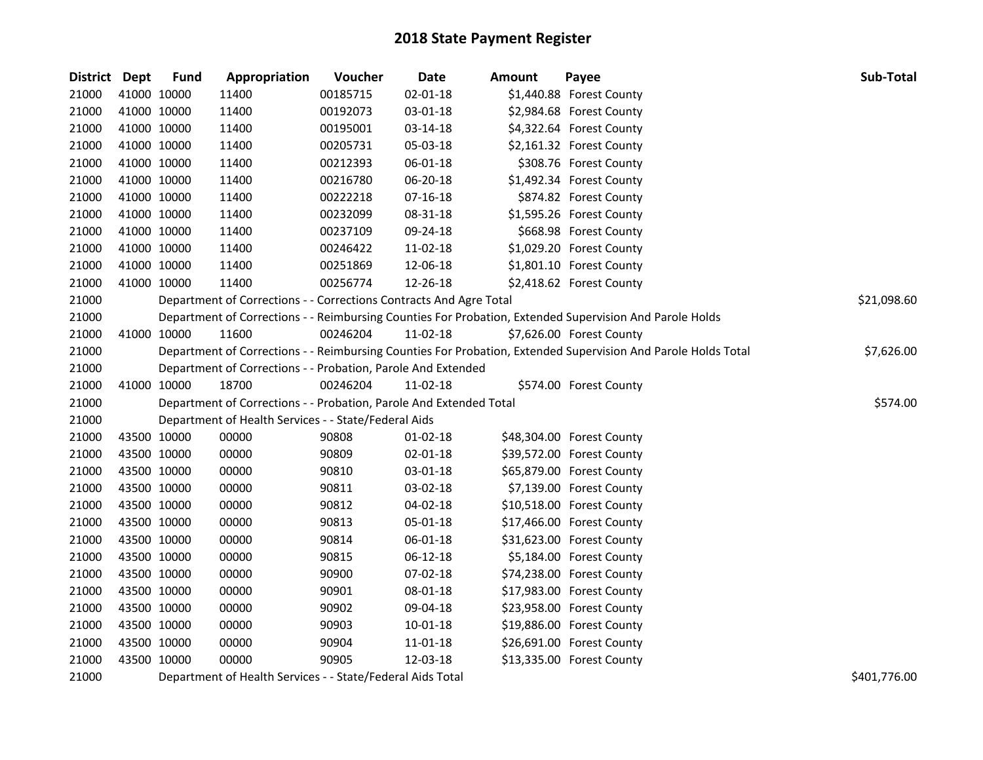| District Dept | <b>Fund</b> | Appropriation                                                      | Voucher  | Date           | <b>Amount</b> | Payee                                                                                                         | Sub-Total    |
|---------------|-------------|--------------------------------------------------------------------|----------|----------------|---------------|---------------------------------------------------------------------------------------------------------------|--------------|
| 21000         | 41000 10000 | 11400                                                              | 00185715 | $02 - 01 - 18$ |               | \$1,440.88 Forest County                                                                                      |              |
| 21000         | 41000 10000 | 11400                                                              | 00192073 | 03-01-18       |               | \$2,984.68 Forest County                                                                                      |              |
| 21000         | 41000 10000 | 11400                                                              | 00195001 | 03-14-18       |               | \$4,322.64 Forest County                                                                                      |              |
| 21000         | 41000 10000 | 11400                                                              | 00205731 | 05-03-18       |               | \$2,161.32 Forest County                                                                                      |              |
| 21000         | 41000 10000 | 11400                                                              | 00212393 | 06-01-18       |               | \$308.76 Forest County                                                                                        |              |
| 21000         | 41000 10000 | 11400                                                              | 00216780 | 06-20-18       |               | \$1,492.34 Forest County                                                                                      |              |
| 21000         | 41000 10000 | 11400                                                              | 00222218 | $07 - 16 - 18$ |               | \$874.82 Forest County                                                                                        |              |
| 21000         | 41000 10000 | 11400                                                              | 00232099 | 08-31-18       |               | \$1,595.26 Forest County                                                                                      |              |
| 21000         | 41000 10000 | 11400                                                              | 00237109 | 09-24-18       |               | \$668.98 Forest County                                                                                        |              |
| 21000         | 41000 10000 | 11400                                                              | 00246422 | 11-02-18       |               | \$1,029.20 Forest County                                                                                      |              |
| 21000         | 41000 10000 | 11400                                                              | 00251869 | 12-06-18       |               | \$1,801.10 Forest County                                                                                      |              |
| 21000         | 41000 10000 | 11400                                                              | 00256774 | 12-26-18       |               | \$2,418.62 Forest County                                                                                      |              |
| 21000         |             | Department of Corrections - - Corrections Contracts And Agre Total |          |                |               |                                                                                                               | \$21,098.60  |
| 21000         |             |                                                                    |          |                |               | Department of Corrections - - Reimbursing Counties For Probation, Extended Supervision And Parole Holds       |              |
| 21000         | 41000 10000 | 11600                                                              | 00246204 | 11-02-18       |               | \$7,626.00 Forest County                                                                                      |              |
| 21000         |             |                                                                    |          |                |               | Department of Corrections - - Reimbursing Counties For Probation, Extended Supervision And Parole Holds Total | \$7,626.00   |
| 21000         |             | Department of Corrections - - Probation, Parole And Extended       |          |                |               |                                                                                                               |              |
| 21000         | 41000 10000 | 18700                                                              | 00246204 | 11-02-18       |               | \$574.00 Forest County                                                                                        |              |
| 21000         |             | Department of Corrections - - Probation, Parole And Extended Total |          |                |               |                                                                                                               | \$574.00     |
| 21000         |             | Department of Health Services - - State/Federal Aids               |          |                |               |                                                                                                               |              |
| 21000         | 43500 10000 | 00000                                                              | 90808    | $01-02-18$     |               | \$48,304.00 Forest County                                                                                     |              |
| 21000         | 43500 10000 | 00000                                                              | 90809    | 02-01-18       |               | \$39,572.00 Forest County                                                                                     |              |
| 21000         | 43500 10000 | 00000                                                              | 90810    | 03-01-18       |               | \$65,879.00 Forest County                                                                                     |              |
| 21000         | 43500 10000 | 00000                                                              | 90811    | 03-02-18       |               | \$7,139.00 Forest County                                                                                      |              |
| 21000         | 43500 10000 | 00000                                                              | 90812    | 04-02-18       |               | \$10,518.00 Forest County                                                                                     |              |
| 21000         | 43500 10000 | 00000                                                              | 90813    | 05-01-18       |               | \$17,466.00 Forest County                                                                                     |              |
| 21000         | 43500 10000 | 00000                                                              | 90814    | 06-01-18       |               | \$31,623.00 Forest County                                                                                     |              |
| 21000         | 43500 10000 | 00000                                                              | 90815    | 06-12-18       |               | \$5,184.00 Forest County                                                                                      |              |
| 21000         | 43500 10000 | 00000                                                              | 90900    | 07-02-18       |               | \$74,238.00 Forest County                                                                                     |              |
| 21000         | 43500 10000 | 00000                                                              | 90901    | 08-01-18       |               | \$17,983.00 Forest County                                                                                     |              |
| 21000         | 43500 10000 | 00000                                                              | 90902    | 09-04-18       |               | \$23,958.00 Forest County                                                                                     |              |
| 21000         | 43500 10000 | 00000                                                              | 90903    | 10-01-18       |               | \$19,886.00 Forest County                                                                                     |              |
| 21000         | 43500 10000 | 00000                                                              | 90904    | 11-01-18       |               | \$26,691.00 Forest County                                                                                     |              |
| 21000         | 43500 10000 | 00000                                                              | 90905    | 12-03-18       |               | \$13,335.00 Forest County                                                                                     |              |
| 21000         |             | Department of Health Services - - State/Federal Aids Total         |          |                |               |                                                                                                               | \$401,776.00 |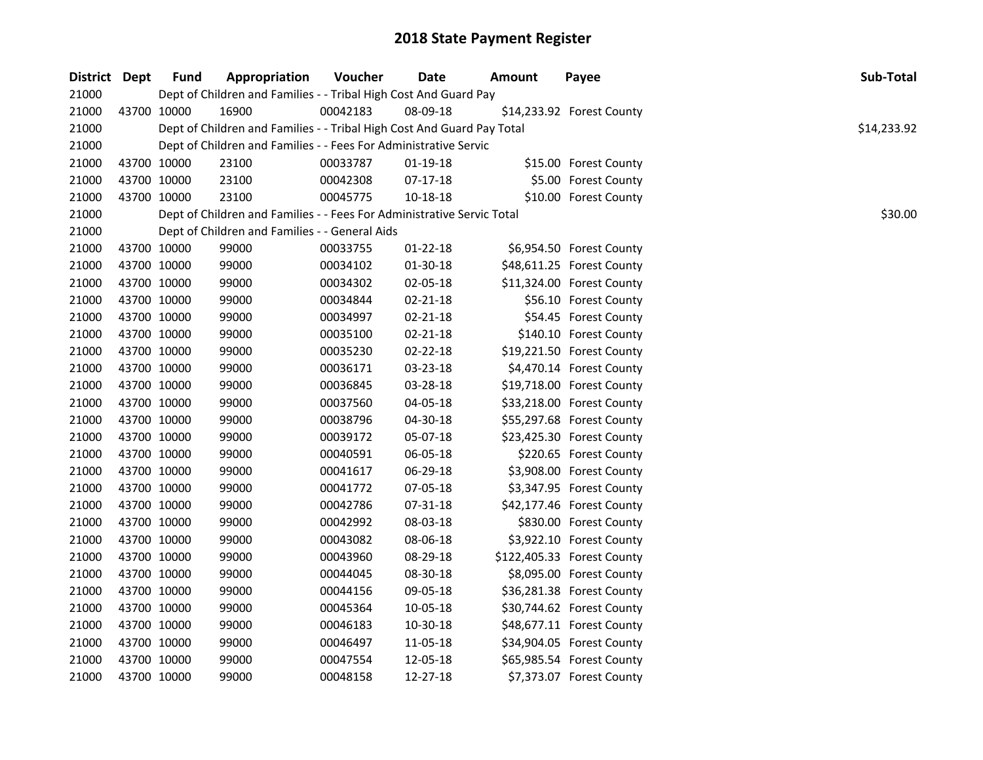| District Dept | <b>Fund</b> | Appropriation                                                          | Voucher  | <b>Date</b>    | <b>Amount</b> | Payee                      | Sub-Total   |
|---------------|-------------|------------------------------------------------------------------------|----------|----------------|---------------|----------------------------|-------------|
| 21000         |             | Dept of Children and Families - - Tribal High Cost And Guard Pay       |          |                |               |                            |             |
| 21000         | 43700 10000 | 16900                                                                  | 00042183 | 08-09-18       |               | \$14,233.92 Forest County  |             |
| 21000         |             | Dept of Children and Families - - Tribal High Cost And Guard Pay Total |          |                |               |                            | \$14,233.92 |
| 21000         |             | Dept of Children and Families - - Fees For Administrative Servic       |          |                |               |                            |             |
| 21000         | 43700 10000 | 23100                                                                  | 00033787 | $01-19-18$     |               | \$15.00 Forest County      |             |
| 21000         | 43700 10000 | 23100                                                                  | 00042308 | $07-17-18$     |               | \$5.00 Forest County       |             |
| 21000         | 43700 10000 | 23100                                                                  | 00045775 | 10-18-18       |               | \$10.00 Forest County      |             |
| 21000         |             | Dept of Children and Families - - Fees For Administrative Servic Total |          |                |               |                            | \$30.00     |
| 21000         |             | Dept of Children and Families - - General Aids                         |          |                |               |                            |             |
| 21000         | 43700 10000 | 99000                                                                  | 00033755 | 01-22-18       |               | \$6,954.50 Forest County   |             |
| 21000         | 43700 10000 | 99000                                                                  | 00034102 | 01-30-18       |               | \$48,611.25 Forest County  |             |
| 21000         | 43700 10000 | 99000                                                                  | 00034302 | 02-05-18       |               | \$11,324.00 Forest County  |             |
| 21000         | 43700 10000 | 99000                                                                  | 00034844 | $02 - 21 - 18$ |               | \$56.10 Forest County      |             |
| 21000         | 43700 10000 | 99000                                                                  | 00034997 | 02-21-18       |               | \$54.45 Forest County      |             |
| 21000         | 43700 10000 | 99000                                                                  | 00035100 | 02-21-18       |               | \$140.10 Forest County     |             |
| 21000         | 43700 10000 | 99000                                                                  | 00035230 | 02-22-18       |               | \$19,221.50 Forest County  |             |
| 21000         | 43700 10000 | 99000                                                                  | 00036171 | 03-23-18       |               | \$4,470.14 Forest County   |             |
| 21000         | 43700 10000 | 99000                                                                  | 00036845 | 03-28-18       |               | \$19,718.00 Forest County  |             |
| 21000         | 43700 10000 | 99000                                                                  | 00037560 | 04-05-18       |               | \$33,218.00 Forest County  |             |
| 21000         | 43700 10000 | 99000                                                                  | 00038796 | 04-30-18       |               | \$55,297.68 Forest County  |             |
| 21000         | 43700 10000 | 99000                                                                  | 00039172 | 05-07-18       |               | \$23,425.30 Forest County  |             |
| 21000         | 43700 10000 | 99000                                                                  | 00040591 | 06-05-18       |               | \$220.65 Forest County     |             |
| 21000         | 43700 10000 | 99000                                                                  | 00041617 | 06-29-18       |               | \$3,908.00 Forest County   |             |
| 21000         | 43700 10000 | 99000                                                                  | 00041772 | 07-05-18       |               | \$3,347.95 Forest County   |             |
| 21000         | 43700 10000 | 99000                                                                  | 00042786 | 07-31-18       |               | \$42,177.46 Forest County  |             |
| 21000         | 43700 10000 | 99000                                                                  | 00042992 | 08-03-18       |               | \$830.00 Forest County     |             |
| 21000         | 43700 10000 | 99000                                                                  | 00043082 | 08-06-18       |               | \$3,922.10 Forest County   |             |
| 21000         | 43700 10000 | 99000                                                                  | 00043960 | 08-29-18       |               | \$122,405.33 Forest County |             |
| 21000         | 43700 10000 | 99000                                                                  | 00044045 | 08-30-18       |               | \$8,095.00 Forest County   |             |
| 21000         | 43700 10000 | 99000                                                                  | 00044156 | 09-05-18       |               | \$36,281.38 Forest County  |             |
| 21000         | 43700 10000 | 99000                                                                  | 00045364 | 10-05-18       |               | \$30,744.62 Forest County  |             |
| 21000         | 43700 10000 | 99000                                                                  | 00046183 | 10-30-18       |               | \$48,677.11 Forest County  |             |
| 21000         | 43700 10000 | 99000                                                                  | 00046497 | 11-05-18       |               | \$34,904.05 Forest County  |             |
| 21000         | 43700 10000 | 99000                                                                  | 00047554 | 12-05-18       |               | \$65,985.54 Forest County  |             |
| 21000         | 43700 10000 | 99000                                                                  | 00048158 | 12-27-18       |               | \$7,373.07 Forest County   |             |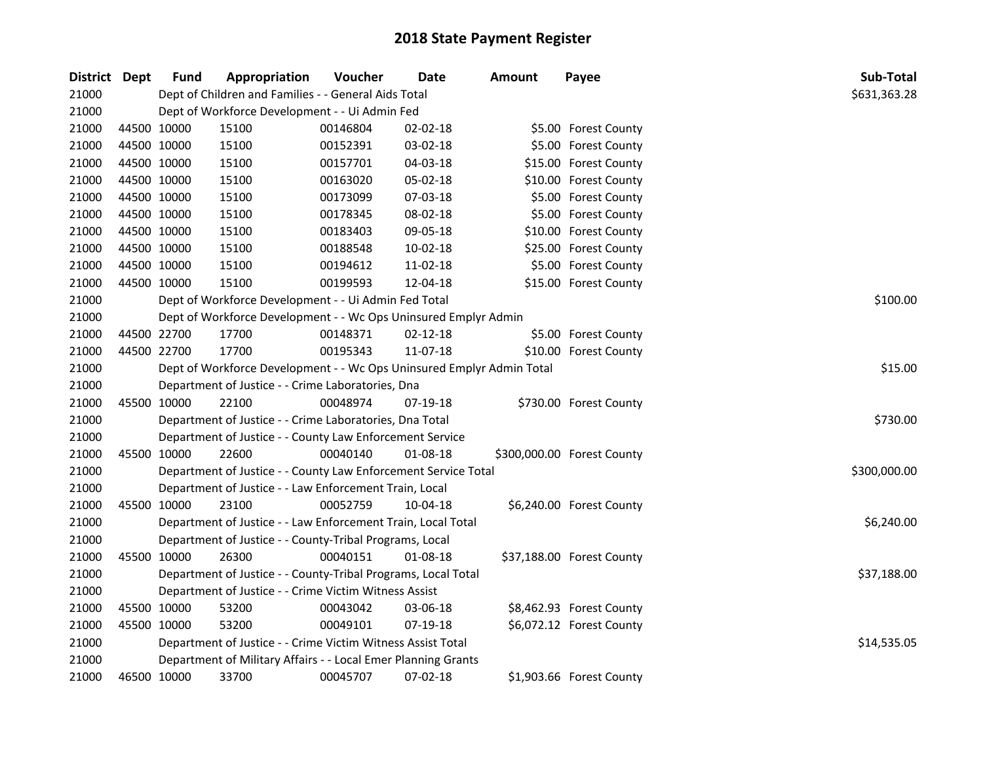| District Dept | <b>Fund</b>                                                           | Appropriation                                                   | Voucher  | <b>Date</b>    | <b>Amount</b> | Payee                      | Sub-Total    |
|---------------|-----------------------------------------------------------------------|-----------------------------------------------------------------|----------|----------------|---------------|----------------------------|--------------|
| 21000         |                                                                       | Dept of Children and Families - - General Aids Total            |          |                |               |                            | \$631,363.28 |
| 21000         |                                                                       | Dept of Workforce Development - - Ui Admin Fed                  |          |                |               |                            |              |
| 21000         | 44500 10000                                                           | 15100                                                           | 00146804 | 02-02-18       |               | \$5.00 Forest County       |              |
| 21000         | 44500 10000                                                           | 15100                                                           | 00152391 | 03-02-18       |               | \$5.00 Forest County       |              |
| 21000         | 44500 10000                                                           | 15100                                                           | 00157701 | 04-03-18       |               | \$15.00 Forest County      |              |
| 21000         | 44500 10000                                                           | 15100                                                           | 00163020 | 05-02-18       |               | \$10.00 Forest County      |              |
| 21000         | 44500 10000                                                           | 15100                                                           | 00173099 | 07-03-18       |               | \$5.00 Forest County       |              |
| 21000         | 44500 10000                                                           | 15100                                                           | 00178345 | 08-02-18       |               | \$5.00 Forest County       |              |
| 21000         | 44500 10000                                                           | 15100                                                           | 00183403 | 09-05-18       |               | \$10.00 Forest County      |              |
| 21000         | 44500 10000                                                           | 15100                                                           | 00188548 | 10-02-18       |               | \$25.00 Forest County      |              |
| 21000         | 44500 10000                                                           | 15100                                                           | 00194612 | 11-02-18       |               | \$5.00 Forest County       |              |
| 21000         | 44500 10000                                                           | 15100                                                           | 00199593 | 12-04-18       |               | \$15.00 Forest County      |              |
| 21000         |                                                                       | Dept of Workforce Development - - Ui Admin Fed Total            |          |                |               |                            | \$100.00     |
| 21000         |                                                                       | Dept of Workforce Development - - Wc Ops Uninsured Emplyr Admin |          |                |               |                            |              |
| 21000         | 44500 22700                                                           | 17700                                                           | 00148371 | $02 - 12 - 18$ |               | \$5.00 Forest County       |              |
| 21000         | 44500 22700                                                           | 17700                                                           | 00195343 | 11-07-18       |               | \$10.00 Forest County      |              |
| 21000         | Dept of Workforce Development - - Wc Ops Uninsured Emplyr Admin Total | \$15.00                                                         |          |                |               |                            |              |
| 21000         |                                                                       | Department of Justice - - Crime Laboratories, Dna               |          |                |               |                            |              |
| 21000         | 45500 10000                                                           | 22100                                                           | 00048974 | 07-19-18       |               | \$730.00 Forest County     |              |
| 21000         |                                                                       | Department of Justice - - Crime Laboratories, Dna Total         |          |                |               |                            | \$730.00     |
| 21000         |                                                                       | Department of Justice - - County Law Enforcement Service        |          |                |               |                            |              |
| 21000         | 45500 10000                                                           | 22600                                                           | 00040140 | 01-08-18       |               | \$300,000.00 Forest County |              |
| 21000         |                                                                       | Department of Justice - - County Law Enforcement Service Total  |          |                |               |                            | \$300,000.00 |
| 21000         |                                                                       | Department of Justice - - Law Enforcement Train, Local          |          |                |               |                            |              |
| 21000         | 45500 10000                                                           | 23100                                                           | 00052759 | 10-04-18       |               | \$6,240.00 Forest County   |              |
| 21000         |                                                                       | Department of Justice - - Law Enforcement Train, Local Total    |          |                |               |                            | \$6,240.00   |
| 21000         |                                                                       | Department of Justice - - County-Tribal Programs, Local         |          |                |               |                            |              |
| 21000         | 45500 10000                                                           | 26300                                                           | 00040151 | 01-08-18       |               | \$37,188.00 Forest County  |              |
| 21000         |                                                                       | Department of Justice - - County-Tribal Programs, Local Total   |          |                |               |                            | \$37,188.00  |
| 21000         |                                                                       | Department of Justice - - Crime Victim Witness Assist           |          |                |               |                            |              |
| 21000         | 45500 10000                                                           | 53200                                                           | 00043042 | 03-06-18       |               | \$8,462.93 Forest County   |              |
| 21000         | 45500 10000                                                           | 53200                                                           | 00049101 | 07-19-18       |               | \$6,072.12 Forest County   |              |
| 21000         |                                                                       | Department of Justice - - Crime Victim Witness Assist Total     |          |                |               |                            | \$14,535.05  |
| 21000         |                                                                       | Department of Military Affairs - - Local Emer Planning Grants   |          |                |               |                            |              |
| 21000         | 46500 10000                                                           | 33700                                                           | 00045707 | 07-02-18       |               | \$1,903.66 Forest County   |              |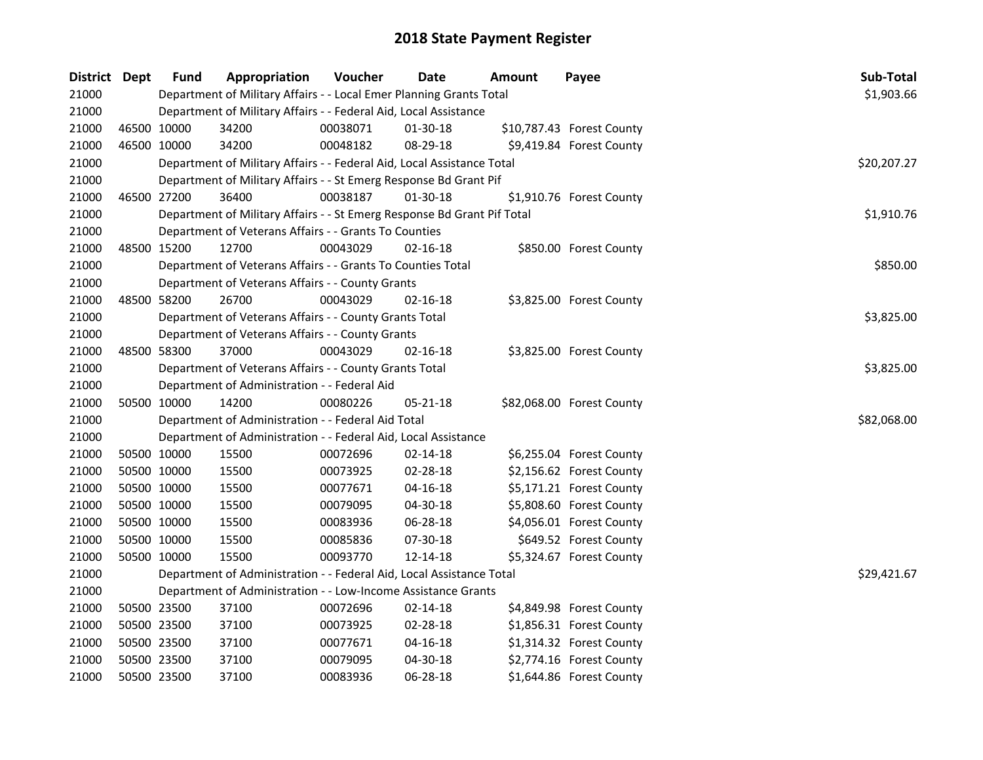| District Dept |             | <b>Fund</b> | Appropriation                                                           | Voucher  | <b>Date</b>    | Amount | Payee                     | Sub-Total   |
|---------------|-------------|-------------|-------------------------------------------------------------------------|----------|----------------|--------|---------------------------|-------------|
| 21000         |             |             | Department of Military Affairs - - Local Emer Planning Grants Total     |          |                |        |                           | \$1,903.66  |
| 21000         |             |             | Department of Military Affairs - - Federal Aid, Local Assistance        |          |                |        |                           |             |
| 21000         | 46500 10000 |             | 34200                                                                   | 00038071 | 01-30-18       |        | \$10,787.43 Forest County |             |
| 21000         | 46500 10000 |             | 34200                                                                   | 00048182 | 08-29-18       |        | \$9,419.84 Forest County  |             |
| 21000         |             |             | Department of Military Affairs - - Federal Aid, Local Assistance Total  |          |                |        |                           | \$20,207.27 |
| 21000         |             |             | Department of Military Affairs - - St Emerg Response Bd Grant Pif       |          |                |        |                           |             |
| 21000         | 46500 27200 |             | 36400                                                                   | 00038187 | 01-30-18       |        | \$1,910.76 Forest County  |             |
| 21000         |             |             | Department of Military Affairs - - St Emerg Response Bd Grant Pif Total |          |                |        |                           | \$1,910.76  |
| 21000         |             |             | Department of Veterans Affairs - - Grants To Counties                   |          |                |        |                           |             |
| 21000         |             | 48500 15200 | 12700                                                                   | 00043029 | $02 - 16 - 18$ |        | \$850.00 Forest County    |             |
| 21000         |             |             | Department of Veterans Affairs - - Grants To Counties Total             |          |                |        |                           | \$850.00    |
| 21000         |             |             | Department of Veterans Affairs - - County Grants                        |          |                |        |                           |             |
| 21000         | 48500 58200 |             | 26700                                                                   | 00043029 | $02 - 16 - 18$ |        | \$3,825.00 Forest County  |             |
| 21000         |             |             | Department of Veterans Affairs - - County Grants Total                  |          |                |        |                           | \$3,825.00  |
| 21000         |             |             | Department of Veterans Affairs - - County Grants                        |          |                |        |                           |             |
| 21000         | 48500 58300 |             | 37000                                                                   | 00043029 | $02 - 16 - 18$ |        | \$3,825.00 Forest County  |             |
| 21000         |             |             | Department of Veterans Affairs - - County Grants Total                  |          |                |        |                           | \$3,825.00  |
| 21000         |             |             | Department of Administration - - Federal Aid                            |          |                |        |                           |             |
| 21000         | 50500 10000 |             | 14200                                                                   | 00080226 | 05-21-18       |        | \$82,068.00 Forest County |             |
| 21000         |             |             | Department of Administration - - Federal Aid Total                      |          |                |        |                           | \$82,068.00 |
| 21000         |             |             | Department of Administration - - Federal Aid, Local Assistance          |          |                |        |                           |             |
| 21000         | 50500 10000 |             | 15500                                                                   | 00072696 | $02 - 14 - 18$ |        | \$6,255.04 Forest County  |             |
| 21000         | 50500 10000 |             | 15500                                                                   | 00073925 | 02-28-18       |        | \$2,156.62 Forest County  |             |
| 21000         | 50500 10000 |             | 15500                                                                   | 00077671 | $04 - 16 - 18$ |        | \$5,171.21 Forest County  |             |
| 21000         | 50500 10000 |             | 15500                                                                   | 00079095 | 04-30-18       |        | \$5,808.60 Forest County  |             |
| 21000         | 50500 10000 |             | 15500                                                                   | 00083936 | 06-28-18       |        | \$4,056.01 Forest County  |             |
| 21000         | 50500 10000 |             | 15500                                                                   | 00085836 | 07-30-18       |        | \$649.52 Forest County    |             |
| 21000         | 50500 10000 |             | 15500                                                                   | 00093770 | $12 - 14 - 18$ |        | \$5,324.67 Forest County  |             |
| 21000         |             |             | Department of Administration - - Federal Aid, Local Assistance Total    |          |                |        |                           | \$29,421.67 |
| 21000         |             |             | Department of Administration - - Low-Income Assistance Grants           |          |                |        |                           |             |
| 21000         | 50500 23500 |             | 37100                                                                   | 00072696 | 02-14-18       |        | \$4,849.98 Forest County  |             |
| 21000         | 50500 23500 |             | 37100                                                                   | 00073925 | 02-28-18       |        | \$1,856.31 Forest County  |             |
| 21000         |             | 50500 23500 | 37100                                                                   | 00077671 | 04-16-18       |        | \$1,314.32 Forest County  |             |
| 21000         | 50500 23500 |             | 37100                                                                   | 00079095 | 04-30-18       |        | \$2,774.16 Forest County  |             |
| 21000         | 50500 23500 |             | 37100                                                                   | 00083936 | 06-28-18       |        | \$1,644.86 Forest County  |             |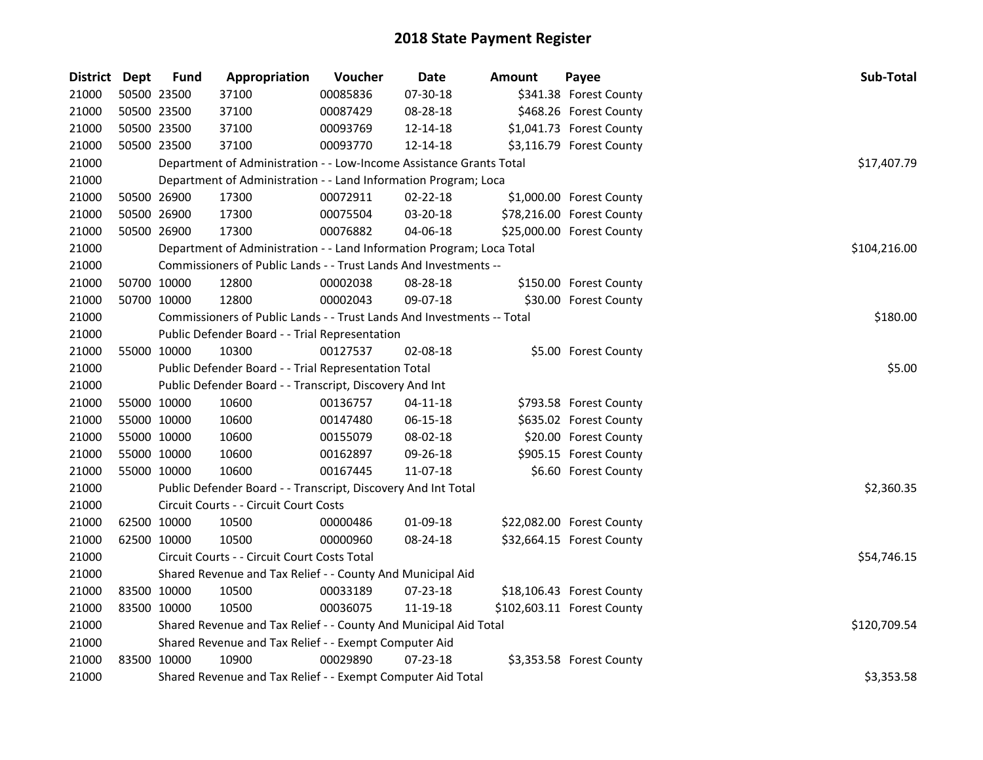| District Dept |             | <b>Fund</b> | Appropriation                                                          | Voucher      | Date           | <b>Amount</b> | Payee                      | Sub-Total    |
|---------------|-------------|-------------|------------------------------------------------------------------------|--------------|----------------|---------------|----------------------------|--------------|
| 21000         | 50500 23500 |             | 37100                                                                  | 00085836     | 07-30-18       |               | \$341.38 Forest County     |              |
| 21000         | 50500 23500 |             | 37100                                                                  | 00087429     | 08-28-18       |               | \$468.26 Forest County     |              |
| 21000         | 50500 23500 |             | 37100                                                                  | 00093769     | 12-14-18       |               | \$1,041.73 Forest County   |              |
| 21000         | 50500 23500 |             | 37100                                                                  | 00093770     | 12-14-18       |               | \$3,116.79 Forest County   |              |
| 21000         |             |             | Department of Administration - - Low-Income Assistance Grants Total    |              |                |               |                            | \$17,407.79  |
| 21000         |             |             | Department of Administration - - Land Information Program; Loca        |              |                |               |                            |              |
| 21000         | 50500 26900 |             | 17300                                                                  | 00072911     | 02-22-18       |               | \$1,000.00 Forest County   |              |
| 21000         | 50500 26900 |             | 17300                                                                  | 00075504     | 03-20-18       |               | \$78,216.00 Forest County  |              |
| 21000         | 50500 26900 |             | 17300                                                                  | 00076882     | 04-06-18       |               | \$25,000.00 Forest County  |              |
| 21000         |             |             | Department of Administration - - Land Information Program; Loca Total  | \$104,216.00 |                |               |                            |              |
| 21000         |             |             | Commissioners of Public Lands - - Trust Lands And Investments --       |              |                |               |                            |              |
| 21000         | 50700 10000 |             | 12800                                                                  | 00002038     | 08-28-18       |               | \$150.00 Forest County     |              |
| 21000         |             | 50700 10000 | 12800                                                                  | 00002043     | 09-07-18       |               | \$30.00 Forest County      |              |
| 21000         |             |             | Commissioners of Public Lands - - Trust Lands And Investments -- Total |              |                |               |                            | \$180.00     |
| 21000         |             |             | Public Defender Board - - Trial Representation                         |              |                |               |                            |              |
| 21000         |             | 55000 10000 | 10300                                                                  | 00127537     | 02-08-18       |               | \$5.00 Forest County       |              |
| 21000         |             |             | Public Defender Board - - Trial Representation Total                   |              |                |               |                            | \$5.00       |
| 21000         |             |             | Public Defender Board - - Transcript, Discovery And Int                |              |                |               |                            |              |
| 21000         | 55000 10000 |             | 10600                                                                  | 00136757     | 04-11-18       |               | \$793.58 Forest County     |              |
| 21000         | 55000 10000 |             | 10600                                                                  | 00147480     | 06-15-18       |               | \$635.02 Forest County     |              |
| 21000         | 55000 10000 |             | 10600                                                                  | 00155079     | 08-02-18       |               | \$20.00 Forest County      |              |
| 21000         | 55000 10000 |             | 10600                                                                  | 00162897     | 09-26-18       |               | \$905.15 Forest County     |              |
| 21000         | 55000 10000 |             | 10600                                                                  | 00167445     | 11-07-18       |               | \$6.60 Forest County       |              |
| 21000         |             |             | Public Defender Board - - Transcript, Discovery And Int Total          |              |                |               |                            | \$2,360.35   |
| 21000         |             |             | Circuit Courts - - Circuit Court Costs                                 |              |                |               |                            |              |
| 21000         | 62500 10000 |             | 10500                                                                  | 00000486     | 01-09-18       |               | \$22,082.00 Forest County  |              |
| 21000         | 62500 10000 |             | 10500                                                                  | 00000960     | 08-24-18       |               | \$32,664.15 Forest County  |              |
| 21000         |             |             | Circuit Courts - - Circuit Court Costs Total                           |              |                |               |                            | \$54,746.15  |
| 21000         |             |             | Shared Revenue and Tax Relief - - County And Municipal Aid             |              |                |               |                            |              |
| 21000         | 83500 10000 |             | 10500                                                                  | 00033189     | 07-23-18       |               | \$18,106.43 Forest County  |              |
| 21000         | 83500 10000 |             | 10500                                                                  | 00036075     | 11-19-18       |               | \$102,603.11 Forest County |              |
| 21000         |             |             | Shared Revenue and Tax Relief - - County And Municipal Aid Total       |              |                |               |                            | \$120,709.54 |
| 21000         |             |             | Shared Revenue and Tax Relief - - Exempt Computer Aid                  |              |                |               |                            |              |
| 21000         | 83500 10000 |             | 10900                                                                  | 00029890     | $07 - 23 - 18$ |               | \$3,353.58 Forest County   |              |
| 21000         |             |             | Shared Revenue and Tax Relief - - Exempt Computer Aid Total            |              |                |               |                            | \$3,353.58   |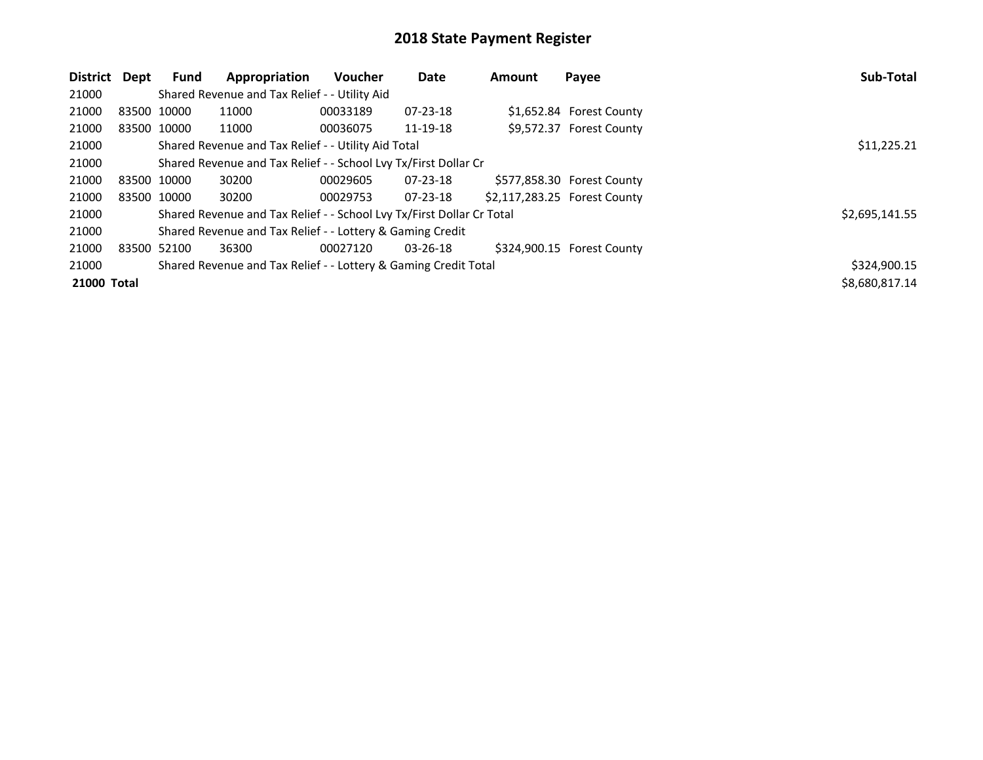| District Dept      |             | <b>Fund</b> | Appropriation                                                         | <b>Voucher</b> | Date           | <b>Amount</b> | Payee                        | Sub-Total      |
|--------------------|-------------|-------------|-----------------------------------------------------------------------|----------------|----------------|---------------|------------------------------|----------------|
| 21000              |             |             | Shared Revenue and Tax Relief - - Utility Aid                         |                |                |               |                              |                |
| 21000              | 83500 10000 |             | 11000                                                                 | 00033189       | $07 - 23 - 18$ |               | \$1,652.84 Forest County     |                |
| 21000              | 83500 10000 |             | 11000                                                                 | 00036075       | 11-19-18       |               | \$9,572.37 Forest County     |                |
| 21000              |             |             | Shared Revenue and Tax Relief - - Utility Aid Total                   |                |                |               |                              | \$11,225.21    |
| 21000              |             |             | Shared Revenue and Tax Relief - - School Lvy Tx/First Dollar Cr       |                |                |               |                              |                |
| 21000              | 83500 10000 |             | 30200                                                                 | 00029605       | $07 - 23 - 18$ |               | \$577,858.30 Forest County   |                |
| 21000              | 83500 10000 |             | 30200                                                                 | 00029753       | $07 - 23 - 18$ |               | \$2,117,283.25 Forest County |                |
| 21000              |             |             | Shared Revenue and Tax Relief - - School Lvy Tx/First Dollar Cr Total |                |                |               |                              | \$2,695,141.55 |
| 21000              |             |             | Shared Revenue and Tax Relief - - Lottery & Gaming Credit             |                |                |               |                              |                |
| 21000              | 83500 52100 |             | 36300                                                                 | 00027120       | $03 - 26 - 18$ |               | \$324,900.15 Forest County   |                |
| 21000              |             |             | Shared Revenue and Tax Relief - - Lottery & Gaming Credit Total       |                |                |               |                              | \$324,900.15   |
| <b>21000 Total</b> |             |             |                                                                       |                |                |               |                              | \$8,680,817.14 |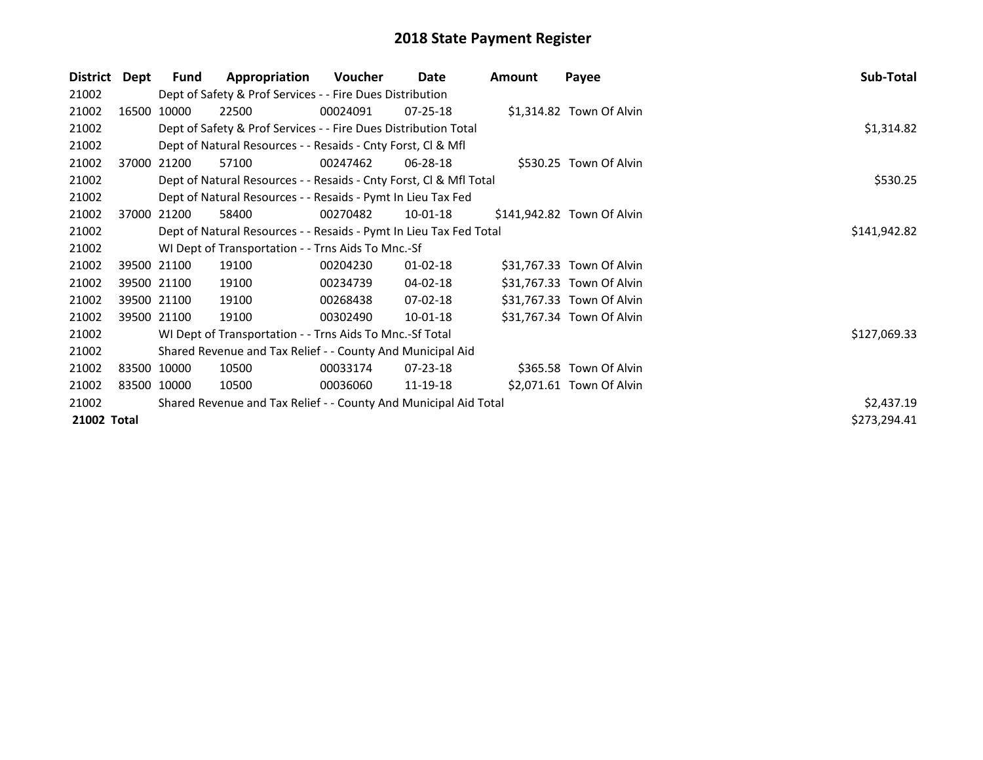| <b>District</b> | Dept | Fund        | Appropriation                                                      | Voucher      | Date           | Amount | Payee                      | Sub-Total    |  |  |  |  |
|-----------------|------|-------------|--------------------------------------------------------------------|--------------|----------------|--------|----------------------------|--------------|--|--|--|--|
| 21002           |      |             | Dept of Safety & Prof Services - - Fire Dues Distribution          |              |                |        |                            |              |  |  |  |  |
| 21002           |      | 16500 10000 | 22500                                                              | 00024091     | $07 - 25 - 18$ |        | \$1,314.82 Town Of Alvin   |              |  |  |  |  |
| 21002           |      |             | Dept of Safety & Prof Services - - Fire Dues Distribution Total    |              |                |        |                            | \$1,314.82   |  |  |  |  |
| 21002           |      |             | Dept of Natural Resources - - Resaids - Cnty Forst, CI & Mfl       |              |                |        |                            |              |  |  |  |  |
| 21002           |      | 37000 21200 | 57100                                                              | 00247462     | 06-28-18       |        | \$530.25 Town Of Alvin     |              |  |  |  |  |
| 21002           |      |             | Dept of Natural Resources - - Resaids - Cnty Forst, Cl & Mfl Total |              |                |        |                            | \$530.25     |  |  |  |  |
| 21002           |      |             | Dept of Natural Resources - - Resaids - Pymt In Lieu Tax Fed       |              |                |        |                            |              |  |  |  |  |
| 21002           |      | 37000 21200 | 58400                                                              | 00270482     | 10-01-18       |        | \$141,942.82 Town Of Alvin |              |  |  |  |  |
| 21002           |      |             | Dept of Natural Resources - - Resaids - Pymt In Lieu Tax Fed Total | \$141,942.82 |                |        |                            |              |  |  |  |  |
| 21002           |      |             | WI Dept of Transportation - - Trns Aids To Mnc.-Sf                 |              |                |        |                            |              |  |  |  |  |
| 21002           |      | 39500 21100 | 19100                                                              | 00204230     | $01-02-18$     |        | \$31,767.33 Town Of Alvin  |              |  |  |  |  |
| 21002           |      | 39500 21100 | 19100                                                              | 00234739     | 04-02-18       |        | \$31,767.33 Town Of Alvin  |              |  |  |  |  |
| 21002           |      | 39500 21100 | 19100                                                              | 00268438     | $07-02-18$     |        | \$31,767.33 Town Of Alvin  |              |  |  |  |  |
| 21002           |      | 39500 21100 | 19100                                                              | 00302490     | 10-01-18       |        | \$31,767.34 Town Of Alvin  |              |  |  |  |  |
| 21002           |      |             | WI Dept of Transportation - - Trns Aids To Mnc.-Sf Total           |              |                |        |                            | \$127,069.33 |  |  |  |  |
| 21002           |      |             | Shared Revenue and Tax Relief - - County And Municipal Aid         |              |                |        |                            |              |  |  |  |  |
| 21002           |      | 83500 10000 | 10500                                                              | 00033174     | 07-23-18       |        | \$365.58 Town Of Alvin     |              |  |  |  |  |
| 21002           |      | 83500 10000 | 10500                                                              | 00036060     | 11-19-18       |        | \$2,071.61 Town Of Alvin   |              |  |  |  |  |
| 21002           |      |             | Shared Revenue and Tax Relief - - County And Municipal Aid Total   |              |                |        |                            | \$2,437.19   |  |  |  |  |
| 21002 Total     |      |             |                                                                    |              |                |        |                            | \$273,294.41 |  |  |  |  |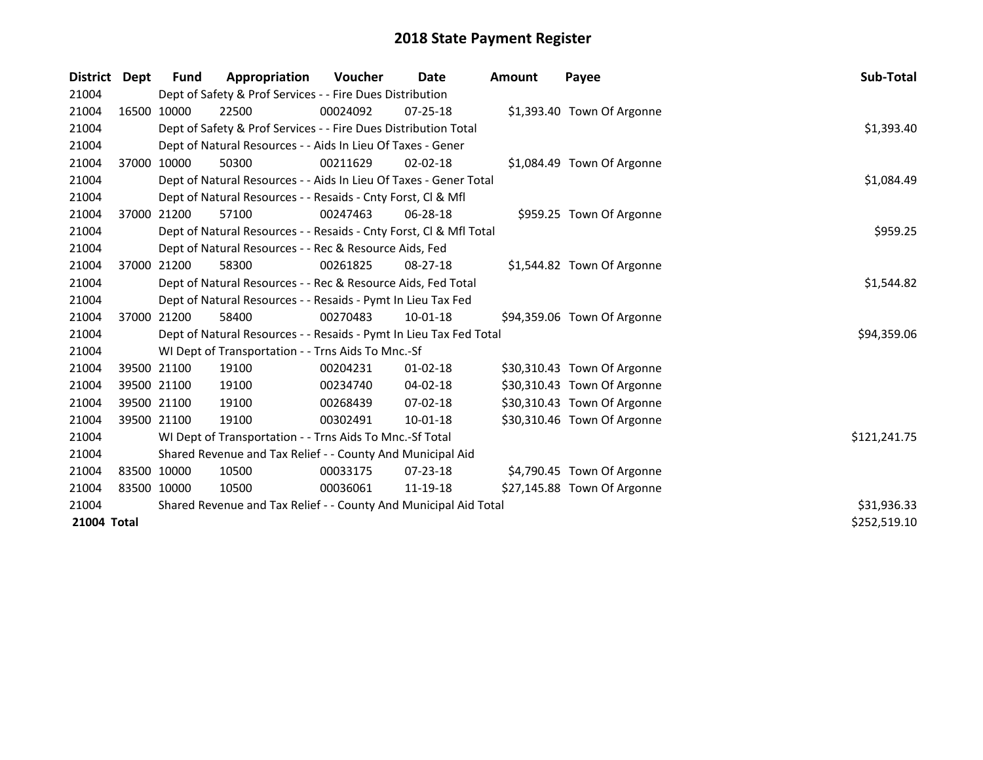| District Dept | Fund        | Appropriation                                                      | Voucher  | Date           | <b>Amount</b> | Payee                       | Sub-Total    |
|---------------|-------------|--------------------------------------------------------------------|----------|----------------|---------------|-----------------------------|--------------|
| 21004         |             | Dept of Safety & Prof Services - - Fire Dues Distribution          |          |                |               |                             |              |
| 21004         | 16500 10000 | 22500                                                              | 00024092 | $07 - 25 - 18$ |               | \$1,393.40 Town Of Argonne  |              |
| 21004         |             | Dept of Safety & Prof Services - - Fire Dues Distribution Total    |          |                |               |                             | \$1,393.40   |
| 21004         |             | Dept of Natural Resources - - Aids In Lieu Of Taxes - Gener        |          |                |               |                             |              |
| 21004         | 37000 10000 | 50300                                                              | 00211629 | $02 - 02 - 18$ |               | \$1,084.49 Town Of Argonne  |              |
| 21004         |             | Dept of Natural Resources - - Aids In Lieu Of Taxes - Gener Total  |          |                |               |                             | \$1,084.49   |
| 21004         |             | Dept of Natural Resources - - Resaids - Cnty Forst, Cl & Mfl       |          |                |               |                             |              |
| 21004         | 37000 21200 | 57100                                                              | 00247463 | $06 - 28 - 18$ |               | \$959.25 Town Of Argonne    |              |
| 21004         |             | Dept of Natural Resources - - Resaids - Cnty Forst, CI & Mfl Total | \$959.25 |                |               |                             |              |
| 21004         |             | Dept of Natural Resources - - Rec & Resource Aids, Fed             |          |                |               |                             |              |
| 21004         | 37000 21200 | 58300                                                              | 00261825 | $08 - 27 - 18$ |               | \$1,544.82 Town Of Argonne  |              |
| 21004         |             | Dept of Natural Resources - - Rec & Resource Aids, Fed Total       |          |                |               |                             | \$1,544.82   |
| 21004         |             | Dept of Natural Resources - - Resaids - Pymt In Lieu Tax Fed       |          |                |               |                             |              |
| 21004         | 37000 21200 | 58400                                                              | 00270483 | $10 - 01 - 18$ |               | \$94,359.06 Town Of Argonne |              |
| 21004         |             | Dept of Natural Resources - - Resaids - Pymt In Lieu Tax Fed Total |          |                |               |                             | \$94,359.06  |
| 21004         |             | WI Dept of Transportation - - Trns Aids To Mnc.-Sf                 |          |                |               |                             |              |
| 21004         | 39500 21100 | 19100                                                              | 00204231 | $01 - 02 - 18$ |               | \$30,310.43 Town Of Argonne |              |
| 21004         | 39500 21100 | 19100                                                              | 00234740 | 04-02-18       |               | \$30,310.43 Town Of Argonne |              |
| 21004         | 39500 21100 | 19100                                                              | 00268439 | $07 - 02 - 18$ |               | \$30,310.43 Town Of Argonne |              |
| 21004         | 39500 21100 | 19100                                                              | 00302491 | $10 - 01 - 18$ |               | \$30,310.46 Town Of Argonne |              |
| 21004         |             | WI Dept of Transportation - - Trns Aids To Mnc.-Sf Total           |          |                |               |                             | \$121,241.75 |
| 21004         |             | Shared Revenue and Tax Relief - - County And Municipal Aid         |          |                |               |                             |              |
| 21004         | 83500 10000 | 10500                                                              | 00033175 | $07 - 23 - 18$ |               | \$4,790.45 Town Of Argonne  |              |
| 21004         | 83500 10000 | 10500                                                              | 00036061 | 11-19-18       |               | \$27,145.88 Town Of Argonne |              |
| 21004         |             | Shared Revenue and Tax Relief - - County And Municipal Aid Total   |          |                |               |                             | \$31,936.33  |
| 21004 Total   |             |                                                                    |          |                |               |                             | \$252,519.10 |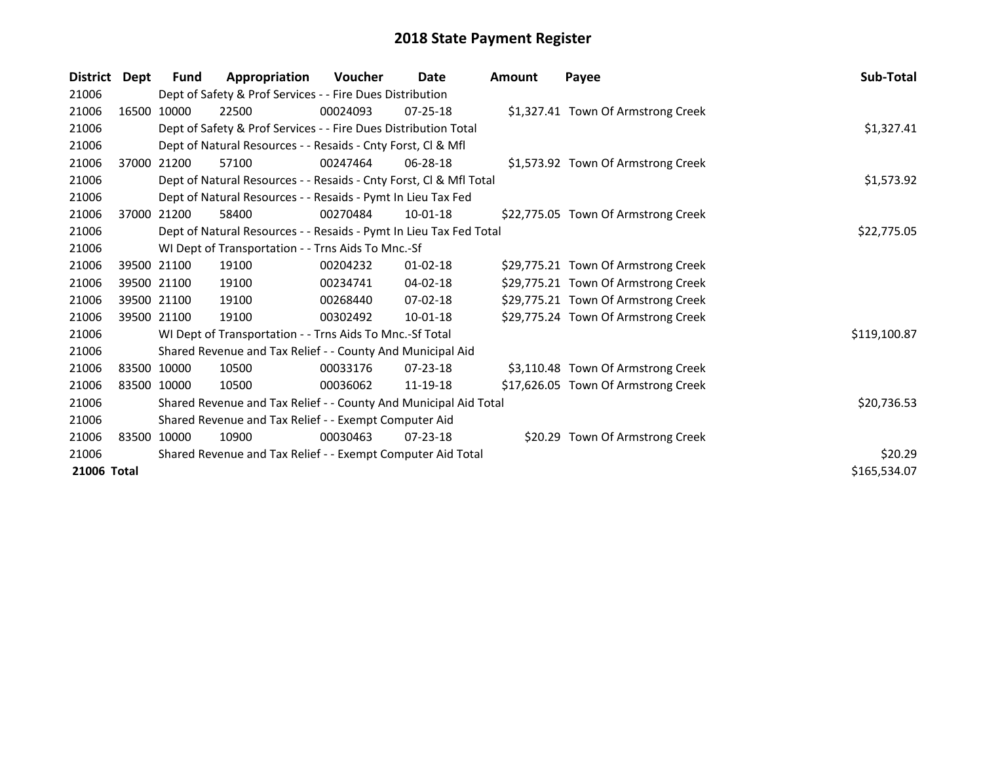| <b>District</b> | Dept        | Fund        | Appropriation                                                      | Voucher  | Date           | Amount | Payee                               | Sub-Total    |
|-----------------|-------------|-------------|--------------------------------------------------------------------|----------|----------------|--------|-------------------------------------|--------------|
| 21006           |             |             | Dept of Safety & Prof Services - - Fire Dues Distribution          |          |                |        |                                     |              |
| 21006           |             | 16500 10000 | 22500                                                              | 00024093 | $07 - 25 - 18$ |        | \$1,327.41 Town Of Armstrong Creek  |              |
| 21006           |             |             | Dept of Safety & Prof Services - - Fire Dues Distribution Total    |          |                |        |                                     | \$1,327.41   |
| 21006           |             |             | Dept of Natural Resources - - Resaids - Cnty Forst, CI & Mfl       |          |                |        |                                     |              |
| 21006           |             | 37000 21200 | 57100                                                              | 00247464 | 06-28-18       |        | \$1,573.92 Town Of Armstrong Creek  |              |
| 21006           |             |             | Dept of Natural Resources - - Resaids - Cnty Forst, Cl & Mfl Total |          |                |        |                                     | \$1,573.92   |
| 21006           |             |             | Dept of Natural Resources - - Resaids - Pymt In Lieu Tax Fed       |          |                |        |                                     |              |
| 21006           | 37000 21200 |             | 58400                                                              | 00270484 | $10 - 01 - 18$ |        | \$22,775.05 Town Of Armstrong Creek |              |
| 21006           |             |             | Dept of Natural Resources - - Resaids - Pymt In Lieu Tax Fed Total |          |                |        |                                     | \$22,775.05  |
| 21006           |             |             | WI Dept of Transportation - - Trns Aids To Mnc.-Sf                 |          |                |        |                                     |              |
| 21006           | 39500 21100 |             | 19100                                                              | 00204232 | $01 - 02 - 18$ |        | \$29,775.21 Town Of Armstrong Creek |              |
| 21006           |             | 39500 21100 | 19100                                                              | 00234741 | $04 - 02 - 18$ |        | \$29,775.21 Town Of Armstrong Creek |              |
| 21006           |             | 39500 21100 | 19100                                                              | 00268440 | $07 - 02 - 18$ |        | \$29,775.21 Town Of Armstrong Creek |              |
| 21006           |             | 39500 21100 | 19100                                                              | 00302492 | 10-01-18       |        | \$29,775.24 Town Of Armstrong Creek |              |
| 21006           |             |             | WI Dept of Transportation - - Trns Aids To Mnc.-Sf Total           |          |                |        |                                     | \$119,100.87 |
| 21006           |             |             | Shared Revenue and Tax Relief - - County And Municipal Aid         |          |                |        |                                     |              |
| 21006           | 83500 10000 |             | 10500                                                              | 00033176 | $07 - 23 - 18$ |        | \$3,110.48 Town Of Armstrong Creek  |              |
| 21006           | 83500 10000 |             | 10500                                                              | 00036062 | 11-19-18       |        | \$17,626.05 Town Of Armstrong Creek |              |
| 21006           |             |             | Shared Revenue and Tax Relief - - County And Municipal Aid Total   |          |                |        |                                     | \$20,736.53  |
| 21006           |             |             | Shared Revenue and Tax Relief - - Exempt Computer Aid              |          |                |        |                                     |              |
| 21006           | 83500 10000 |             | 10900                                                              | 00030463 | $07 - 23 - 18$ |        | \$20.29 Town Of Armstrong Creek     |              |
| 21006           |             |             | Shared Revenue and Tax Relief - - Exempt Computer Aid Total        |          |                |        |                                     | \$20.29      |
| 21006 Total     |             |             |                                                                    |          |                |        |                                     | \$165,534.07 |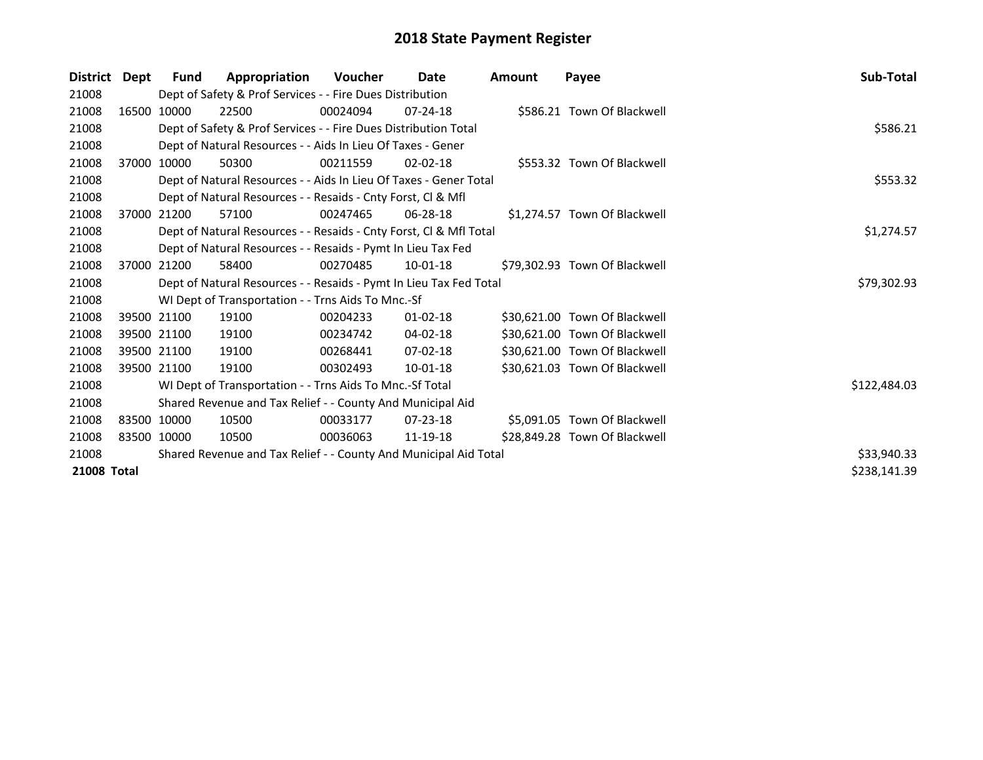| <b>District</b> | Dept | Fund        | Appropriation                                                      | Voucher     | Date           | <b>Amount</b> | Payee                         | Sub-Total    |
|-----------------|------|-------------|--------------------------------------------------------------------|-------------|----------------|---------------|-------------------------------|--------------|
| 21008           |      |             | Dept of Safety & Prof Services - - Fire Dues Distribution          |             |                |               |                               |              |
| 21008           |      | 16500 10000 | 22500                                                              | 00024094    | $07 - 24 - 18$ |               | \$586.21 Town Of Blackwell    |              |
| 21008           |      |             | Dept of Safety & Prof Services - - Fire Dues Distribution Total    |             |                |               |                               | \$586.21     |
| 21008           |      |             | Dept of Natural Resources - - Aids In Lieu Of Taxes - Gener        |             |                |               |                               |              |
| 21008           |      | 37000 10000 | 50300                                                              | 00211559    | $02 - 02 - 18$ |               | \$553.32 Town Of Blackwell    |              |
| 21008           |      |             | Dept of Natural Resources - - Aids In Lieu Of Taxes - Gener Total  |             |                |               |                               | \$553.32     |
| 21008           |      |             | Dept of Natural Resources - - Resaids - Cnty Forst, Cl & Mfl       |             |                |               |                               |              |
| 21008           |      | 37000 21200 | 57100                                                              | 00247465    | $06 - 28 - 18$ |               | \$1,274.57 Town Of Blackwell  |              |
| 21008           |      |             | Dept of Natural Resources - - Resaids - Cnty Forst, Cl & Mfl Total |             |                |               |                               | \$1,274.57   |
| 21008           |      |             | Dept of Natural Resources - - Resaids - Pymt In Lieu Tax Fed       |             |                |               |                               |              |
| 21008           |      | 37000 21200 | 58400                                                              | 00270485    | $10 - 01 - 18$ |               | \$79,302.93 Town Of Blackwell |              |
| 21008           |      |             | Dept of Natural Resources - - Resaids - Pymt In Lieu Tax Fed Total |             |                |               |                               | \$79,302.93  |
| 21008           |      |             | WI Dept of Transportation - - Trns Aids To Mnc.-Sf                 |             |                |               |                               |              |
| 21008           |      | 39500 21100 | 19100                                                              | 00204233    | $01 - 02 - 18$ |               | \$30,621.00 Town Of Blackwell |              |
| 21008           |      | 39500 21100 | 19100                                                              | 00234742    | 04-02-18       |               | \$30,621.00 Town Of Blackwell |              |
| 21008           |      | 39500 21100 | 19100                                                              | 00268441    | $07-02-18$     |               | \$30,621.00 Town Of Blackwell |              |
| 21008           |      | 39500 21100 | 19100                                                              | 00302493    | 10-01-18       |               | \$30,621.03 Town Of Blackwell |              |
| 21008           |      |             | WI Dept of Transportation - - Trns Aids To Mnc.-Sf Total           |             |                |               |                               | \$122,484.03 |
| 21008           |      |             | Shared Revenue and Tax Relief - - County And Municipal Aid         |             |                |               |                               |              |
| 21008           |      | 83500 10000 | 10500                                                              | 00033177    | $07 - 23 - 18$ |               | \$5,091.05 Town Of Blackwell  |              |
| 21008           |      | 83500 10000 | 10500                                                              | 00036063    | 11-19-18       |               | \$28,849.28 Town Of Blackwell |              |
| 21008           |      |             | Shared Revenue and Tax Relief - - County And Municipal Aid Total   | \$33,940.33 |                |               |                               |              |
| 21008 Total     |      |             |                                                                    |             |                |               |                               | \$238,141.39 |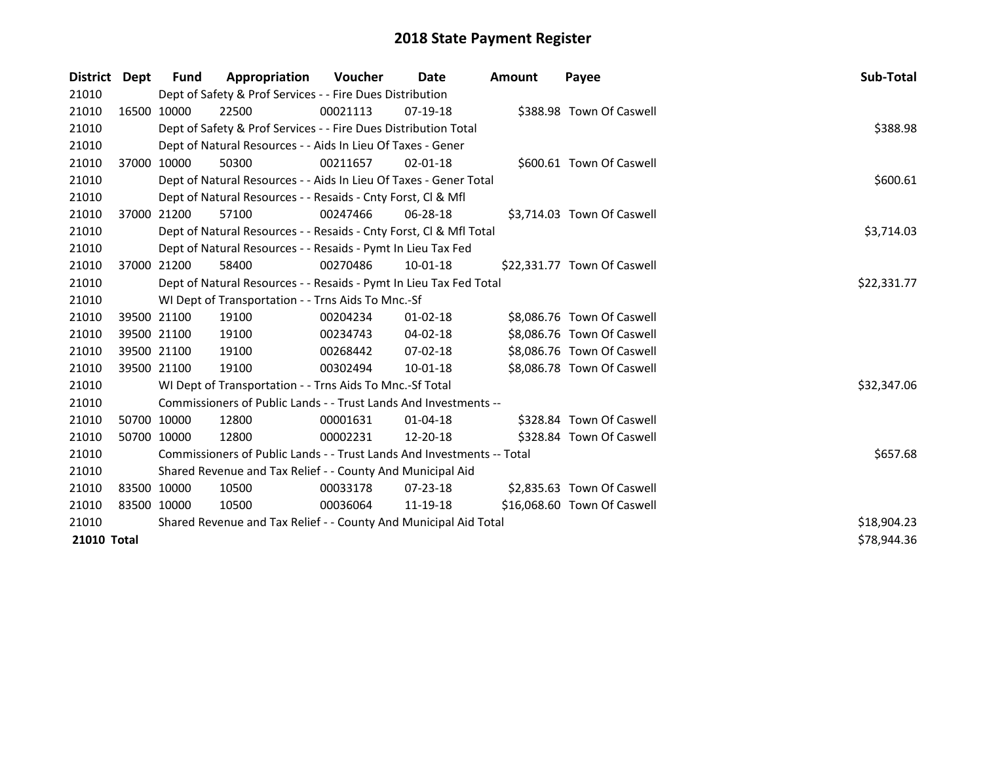| District Dept | <b>Fund</b> | Appropriation                                                          | <b>Voucher</b> | Date           | <b>Amount</b> | Payee                       | Sub-Total   |
|---------------|-------------|------------------------------------------------------------------------|----------------|----------------|---------------|-----------------------------|-------------|
| 21010         |             | Dept of Safety & Prof Services - - Fire Dues Distribution              |                |                |               |                             |             |
| 21010         | 16500 10000 | 22500                                                                  | 00021113       | 07-19-18       |               | \$388.98 Town Of Caswell    |             |
| 21010         |             | Dept of Safety & Prof Services - - Fire Dues Distribution Total        |                |                |               |                             | \$388.98    |
| 21010         |             | Dept of Natural Resources - - Aids In Lieu Of Taxes - Gener            |                |                |               |                             |             |
| 21010         | 37000 10000 | 50300                                                                  | 00211657       | $02 - 01 - 18$ |               | \$600.61 Town Of Caswell    |             |
| 21010         |             | Dept of Natural Resources - - Aids In Lieu Of Taxes - Gener Total      |                |                |               |                             | \$600.61    |
| 21010         |             | Dept of Natural Resources - - Resaids - Cnty Forst, CI & Mfl           |                |                |               |                             |             |
| 21010         | 37000 21200 | 57100                                                                  | 00247466       | 06-28-18       |               | \$3,714.03 Town Of Caswell  |             |
| 21010         |             | Dept of Natural Resources - - Resaids - Cnty Forst, CI & Mfl Total     |                |                |               |                             | \$3,714.03  |
| 21010         |             | Dept of Natural Resources - - Resaids - Pymt In Lieu Tax Fed           |                |                |               |                             |             |
| 21010         | 37000 21200 | 58400                                                                  | 00270486       | $10-01-18$     |               | \$22,331.77 Town Of Caswell |             |
| 21010         |             | Dept of Natural Resources - - Resaids - Pymt In Lieu Tax Fed Total     |                |                |               |                             | \$22,331.77 |
| 21010         |             | WI Dept of Transportation - - Trns Aids To Mnc.-Sf                     |                |                |               |                             |             |
| 21010         | 39500 21100 | 19100                                                                  | 00204234       | $01 - 02 - 18$ |               | \$8,086.76 Town Of Caswell  |             |
| 21010         | 39500 21100 | 19100                                                                  | 00234743       | $04 - 02 - 18$ |               | \$8,086.76 Town Of Caswell  |             |
| 21010         | 39500 21100 | 19100                                                                  | 00268442       | 07-02-18       |               | \$8,086.76 Town Of Caswell  |             |
| 21010         | 39500 21100 | 19100                                                                  | 00302494       | $10 - 01 - 18$ |               | \$8,086.78 Town Of Caswell  |             |
| 21010         |             | WI Dept of Transportation - - Trns Aids To Mnc.-Sf Total               |                |                |               |                             | \$32,347.06 |
| 21010         |             | Commissioners of Public Lands - - Trust Lands And Investments --       |                |                |               |                             |             |
| 21010         | 50700 10000 | 12800                                                                  | 00001631       | 01-04-18       |               | \$328.84 Town Of Caswell    |             |
| 21010         | 50700 10000 | 12800                                                                  | 00002231       | 12-20-18       |               | \$328.84 Town Of Caswell    |             |
| 21010         |             | Commissioners of Public Lands - - Trust Lands And Investments -- Total |                |                |               |                             | \$657.68    |
| 21010         |             | Shared Revenue and Tax Relief - - County And Municipal Aid             |                |                |               |                             |             |
| 21010         | 83500 10000 | 10500                                                                  | 00033178       | 07-23-18       |               | \$2,835.63 Town Of Caswell  |             |
| 21010         | 83500 10000 | 10500                                                                  | 00036064       | 11-19-18       |               | \$16,068.60 Town Of Caswell |             |
| 21010         |             | Shared Revenue and Tax Relief - - County And Municipal Aid Total       | \$18,904.23    |                |               |                             |             |
| 21010 Total   |             |                                                                        |                |                |               |                             | \$78,944.36 |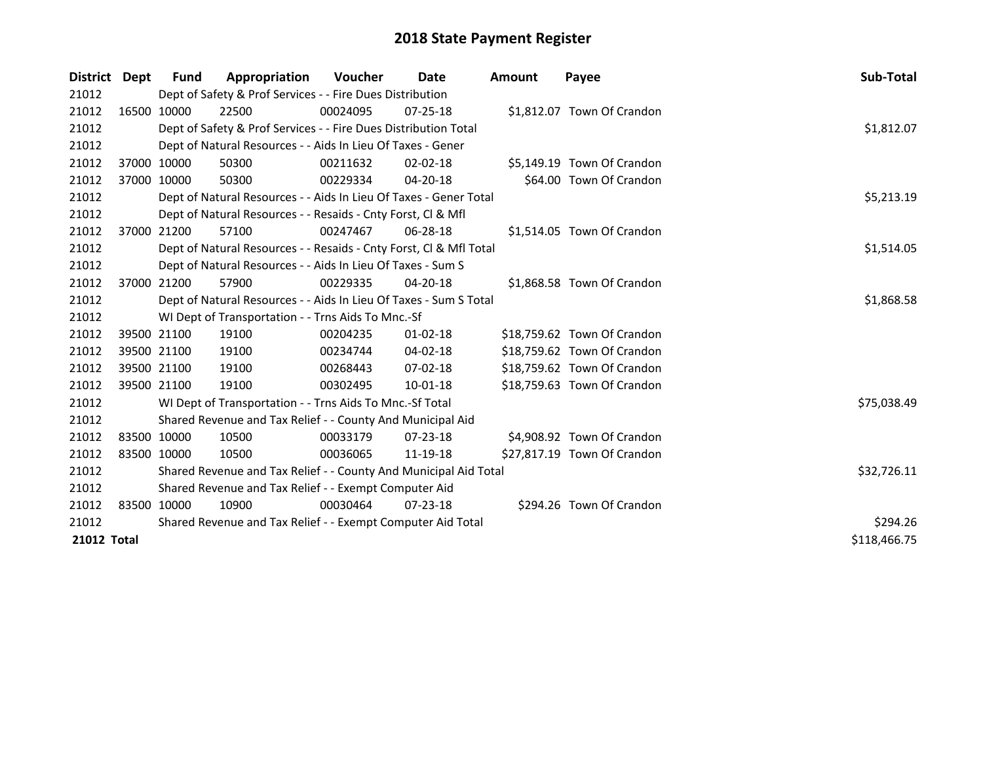| District Dept |             | <b>Fund</b> | Appropriation                                                      | <b>Voucher</b> | Date           | <b>Amount</b> | Payee                       | <b>Sub-Total</b> |
|---------------|-------------|-------------|--------------------------------------------------------------------|----------------|----------------|---------------|-----------------------------|------------------|
| 21012         |             |             | Dept of Safety & Prof Services - - Fire Dues Distribution          |                |                |               |                             |                  |
| 21012         |             | 16500 10000 | 22500                                                              | 00024095       | $07 - 25 - 18$ |               | \$1,812.07 Town Of Crandon  |                  |
| 21012         |             |             | Dept of Safety & Prof Services - - Fire Dues Distribution Total    |                |                |               |                             | \$1,812.07       |
| 21012         |             |             | Dept of Natural Resources - - Aids In Lieu Of Taxes - Gener        |                |                |               |                             |                  |
| 21012         |             | 37000 10000 | 50300                                                              | 00211632       | $02 - 02 - 18$ |               | \$5,149.19 Town Of Crandon  |                  |
| 21012         |             | 37000 10000 | 50300                                                              | 00229334       | 04-20-18       |               | \$64.00 Town Of Crandon     |                  |
| 21012         |             |             | Dept of Natural Resources - - Aids In Lieu Of Taxes - Gener Total  | \$5,213.19     |                |               |                             |                  |
| 21012         |             |             | Dept of Natural Resources - - Resaids - Cnty Forst, Cl & Mfl       |                |                |               |                             |                  |
| 21012         |             | 37000 21200 | 57100                                                              | 00247467       | $06 - 28 - 18$ |               | \$1,514.05 Town Of Crandon  |                  |
| 21012         |             |             | Dept of Natural Resources - - Resaids - Cnty Forst, Cl & Mfl Total |                |                |               |                             | \$1,514.05       |
| 21012         |             |             | Dept of Natural Resources - - Aids In Lieu Of Taxes - Sum S        |                |                |               |                             |                  |
| 21012         |             | 37000 21200 | 57900                                                              | 00229335       | $04 - 20 - 18$ |               | \$1,868.58 Town Of Crandon  |                  |
| 21012         |             |             | Dept of Natural Resources - - Aids In Lieu Of Taxes - Sum S Total  | \$1,868.58     |                |               |                             |                  |
| 21012         |             |             | WI Dept of Transportation - - Trns Aids To Mnc.-Sf                 |                |                |               |                             |                  |
| 21012         |             | 39500 21100 | 19100                                                              | 00204235       | $01 - 02 - 18$ |               | \$18,759.62 Town Of Crandon |                  |
| 21012         |             | 39500 21100 | 19100                                                              | 00234744       | 04-02-18       |               | \$18,759.62 Town Of Crandon |                  |
| 21012         |             | 39500 21100 | 19100                                                              | 00268443       | 07-02-18       |               | \$18,759.62 Town Of Crandon |                  |
| 21012         |             | 39500 21100 | 19100                                                              | 00302495       | $10 - 01 - 18$ |               | \$18,759.63 Town Of Crandon |                  |
| 21012         |             |             | WI Dept of Transportation - - Trns Aids To Mnc.-Sf Total           |                |                |               |                             | \$75,038.49      |
| 21012         |             |             | Shared Revenue and Tax Relief - - County And Municipal Aid         |                |                |               |                             |                  |
| 21012         |             | 83500 10000 | 10500                                                              | 00033179       | $07 - 23 - 18$ |               | \$4,908.92 Town Of Crandon  |                  |
| 21012         | 83500 10000 |             | 10500                                                              | 00036065       | 11-19-18       |               | \$27,817.19 Town Of Crandon |                  |
| 21012         |             |             | Shared Revenue and Tax Relief - - County And Municipal Aid Total   | \$32,726.11    |                |               |                             |                  |
| 21012         |             |             | Shared Revenue and Tax Relief - - Exempt Computer Aid              |                |                |               |                             |                  |
| 21012         |             | 83500 10000 | 10900                                                              | 00030464       | $07 - 23 - 18$ |               | \$294.26 Town Of Crandon    |                  |
| 21012         |             |             | Shared Revenue and Tax Relief - - Exempt Computer Aid Total        |                |                |               |                             | \$294.26         |
| 21012 Total   |             |             |                                                                    |                |                |               |                             | \$118,466.75     |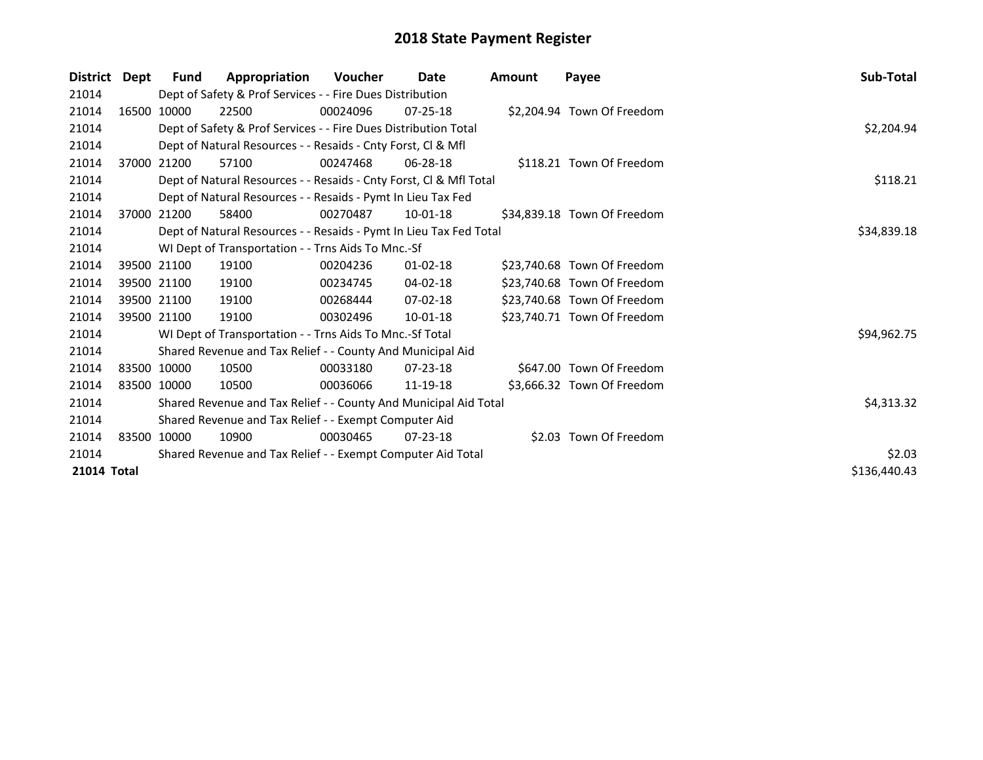| <b>District</b> | Dept | Fund                                                        | Appropriation                                                      | Voucher  | Date           | Amount | Payee                       | Sub-Total    |  |  |  |
|-----------------|------|-------------------------------------------------------------|--------------------------------------------------------------------|----------|----------------|--------|-----------------------------|--------------|--|--|--|
| 21014           |      |                                                             | Dept of Safety & Prof Services - - Fire Dues Distribution          |          |                |        |                             |              |  |  |  |
| 21014           |      | 16500 10000                                                 | 22500                                                              | 00024096 | $07 - 25 - 18$ |        | \$2,204.94 Town Of Freedom  |              |  |  |  |
| 21014           |      |                                                             | Dept of Safety & Prof Services - - Fire Dues Distribution Total    |          |                |        |                             | \$2,204.94   |  |  |  |
| 21014           |      |                                                             | Dept of Natural Resources - - Resaids - Cnty Forst, CI & Mfl       |          |                |        |                             |              |  |  |  |
| 21014           |      | 37000 21200                                                 | 57100                                                              | 00247468 | 06-28-18       |        | \$118.21 Town Of Freedom    |              |  |  |  |
| 21014           |      |                                                             | Dept of Natural Resources - - Resaids - Cnty Forst, CI & Mfl Total |          |                |        |                             | \$118.21     |  |  |  |
| 21014           |      |                                                             | Dept of Natural Resources - - Resaids - Pymt In Lieu Tax Fed       |          |                |        |                             |              |  |  |  |
| 21014           |      | 37000 21200                                                 | 58400                                                              | 00270487 | $10-01-18$     |        | \$34,839.18 Town Of Freedom |              |  |  |  |
| 21014           |      |                                                             | Dept of Natural Resources - - Resaids - Pymt In Lieu Tax Fed Total |          |                |        |                             | \$34,839.18  |  |  |  |
| 21014           |      |                                                             | WI Dept of Transportation - - Trns Aids To Mnc.-Sf                 |          |                |        |                             |              |  |  |  |
| 21014           |      | 39500 21100                                                 | 19100                                                              | 00204236 | $01 - 02 - 18$ |        | \$23,740.68 Town Of Freedom |              |  |  |  |
| 21014           |      | 39500 21100                                                 | 19100                                                              | 00234745 | 04-02-18       |        | \$23,740.68 Town Of Freedom |              |  |  |  |
| 21014           |      | 39500 21100                                                 | 19100                                                              | 00268444 | $07 - 02 - 18$ |        | \$23,740.68 Town Of Freedom |              |  |  |  |
| 21014           |      | 39500 21100                                                 | 19100                                                              | 00302496 | 10-01-18       |        | \$23,740.71 Town Of Freedom |              |  |  |  |
| 21014           |      |                                                             | WI Dept of Transportation - - Trns Aids To Mnc.-Sf Total           |          |                |        |                             | \$94,962.75  |  |  |  |
| 21014           |      |                                                             | Shared Revenue and Tax Relief - - County And Municipal Aid         |          |                |        |                             |              |  |  |  |
| 21014           |      | 83500 10000                                                 | 10500                                                              | 00033180 | $07 - 23 - 18$ |        | \$647.00 Town Of Freedom    |              |  |  |  |
| 21014           |      | 83500 10000                                                 | 10500                                                              | 00036066 | 11-19-18       |        | \$3,666.32 Town Of Freedom  |              |  |  |  |
| 21014           |      |                                                             | Shared Revenue and Tax Relief - - County And Municipal Aid Total   |          |                |        |                             | \$4,313.32   |  |  |  |
| 21014           |      |                                                             | Shared Revenue and Tax Relief - - Exempt Computer Aid              |          |                |        |                             |              |  |  |  |
| 21014           |      | 83500 10000                                                 | 10900                                                              | 00030465 | $07 - 23 - 18$ |        | \$2.03 Town Of Freedom      |              |  |  |  |
| 21014           |      | Shared Revenue and Tax Relief - - Exempt Computer Aid Total | \$2.03                                                             |          |                |        |                             |              |  |  |  |
| 21014 Total     |      |                                                             |                                                                    |          |                |        |                             | \$136,440.43 |  |  |  |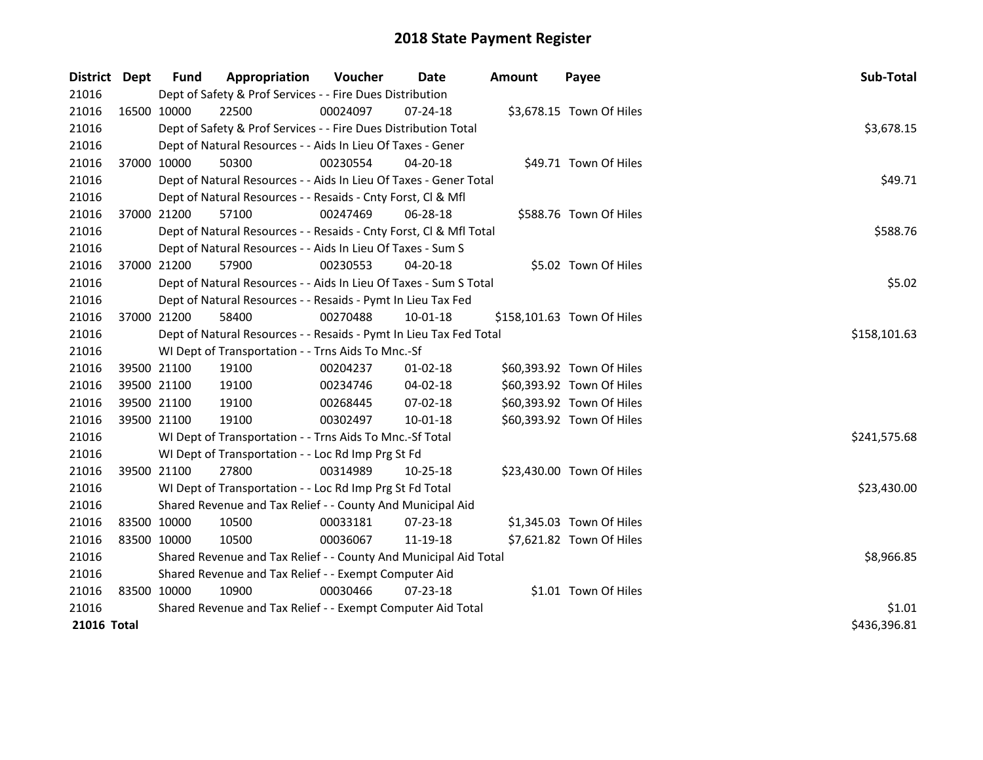| District Dept               |  | Fund                                                        | Appropriation                                                      | Voucher  | Date           | <b>Amount</b> | Payee                      | Sub-Total    |  |
|-----------------------------|--|-------------------------------------------------------------|--------------------------------------------------------------------|----------|----------------|---------------|----------------------------|--------------|--|
| 21016                       |  |                                                             | Dept of Safety & Prof Services - - Fire Dues Distribution          |          |                |               |                            |              |  |
| 21016                       |  | 16500 10000                                                 | 22500                                                              | 00024097 | 07-24-18       |               | \$3,678.15 Town Of Hiles   |              |  |
| 21016                       |  |                                                             | Dept of Safety & Prof Services - - Fire Dues Distribution Total    |          |                |               |                            | \$3,678.15   |  |
| 21016                       |  |                                                             | Dept of Natural Resources - - Aids In Lieu Of Taxes - Gener        |          |                |               |                            |              |  |
| 21016                       |  | 37000 10000                                                 | 50300                                                              | 00230554 | 04-20-18       |               | \$49.71 Town Of Hiles      |              |  |
| 21016                       |  |                                                             | Dept of Natural Resources - - Aids In Lieu Of Taxes - Gener Total  |          |                |               |                            | \$49.71      |  |
| 21016                       |  |                                                             | Dept of Natural Resources - - Resaids - Cnty Forst, Cl & Mfl       |          |                |               |                            |              |  |
| 21016                       |  | 37000 21200                                                 | 57100                                                              | 00247469 | 06-28-18       |               | \$588.76 Town Of Hiles     |              |  |
| 21016                       |  |                                                             | Dept of Natural Resources - - Resaids - Cnty Forst, CI & Mfl Total |          |                |               |                            | \$588.76     |  |
| 21016                       |  |                                                             | Dept of Natural Resources - - Aids In Lieu Of Taxes - Sum S        |          |                |               |                            |              |  |
| 21016                       |  | 37000 21200                                                 | 57900                                                              | 00230553 | 04-20-18       |               | \$5.02 Town Of Hiles       |              |  |
| 21016                       |  |                                                             | Dept of Natural Resources - - Aids In Lieu Of Taxes - Sum S Total  |          |                |               |                            | \$5.02       |  |
| 21016                       |  |                                                             | Dept of Natural Resources - - Resaids - Pymt In Lieu Tax Fed       |          |                |               |                            |              |  |
| 21016                       |  | 37000 21200                                                 | 58400                                                              | 00270488 | 10-01-18       |               | \$158,101.63 Town Of Hiles |              |  |
| 21016                       |  |                                                             | Dept of Natural Resources - - Resaids - Pymt In Lieu Tax Fed Total |          |                |               |                            | \$158,101.63 |  |
| 21016                       |  |                                                             | WI Dept of Transportation - - Trns Aids To Mnc.-Sf                 |          |                |               |                            |              |  |
| 21016                       |  | 39500 21100                                                 | 19100                                                              | 00204237 | $01 - 02 - 18$ |               | \$60,393.92 Town Of Hiles  |              |  |
| 21016                       |  | 39500 21100                                                 | 19100                                                              | 00234746 | 04-02-18       |               | \$60,393.92 Town Of Hiles  |              |  |
| 21016                       |  | 39500 21100                                                 | 19100                                                              | 00268445 | 07-02-18       |               | \$60,393.92 Town Of Hiles  |              |  |
| 21016                       |  | 39500 21100                                                 | 19100                                                              | 00302497 | 10-01-18       |               | \$60,393.92 Town Of Hiles  |              |  |
| 21016                       |  |                                                             | WI Dept of Transportation - - Trns Aids To Mnc.-Sf Total           |          |                |               |                            | \$241,575.68 |  |
| 21016                       |  |                                                             | WI Dept of Transportation - - Loc Rd Imp Prg St Fd                 |          |                |               |                            |              |  |
| 21016                       |  | 39500 21100                                                 | 27800                                                              | 00314989 | $10 - 25 - 18$ |               | \$23,430.00 Town Of Hiles  |              |  |
| 21016                       |  |                                                             | WI Dept of Transportation - - Loc Rd Imp Prg St Fd Total           |          |                |               |                            | \$23,430.00  |  |
| 21016                       |  |                                                             | Shared Revenue and Tax Relief - - County And Municipal Aid         |          |                |               |                            |              |  |
| 21016                       |  | 83500 10000                                                 | 10500                                                              | 00033181 | 07-23-18       |               | \$1,345.03 Town Of Hiles   |              |  |
| 21016                       |  | 83500 10000                                                 | 10500                                                              | 00036067 | 11-19-18       |               | \$7,621.82 Town Of Hiles   |              |  |
| 21016                       |  |                                                             | Shared Revenue and Tax Relief - - County And Municipal Aid Total   |          |                |               |                            | \$8,966.85   |  |
| 21016                       |  | Shared Revenue and Tax Relief - - Exempt Computer Aid       |                                                                    |          |                |               |                            |              |  |
| 21016                       |  | 83500 10000                                                 | 10900                                                              | 00030466 | $07 - 23 - 18$ |               | \$1.01 Town Of Hiles       |              |  |
| 21016                       |  | Shared Revenue and Tax Relief - - Exempt Computer Aid Total | \$1.01                                                             |          |                |               |                            |              |  |
| \$436,396.81<br>21016 Total |  |                                                             |                                                                    |          |                |               |                            |              |  |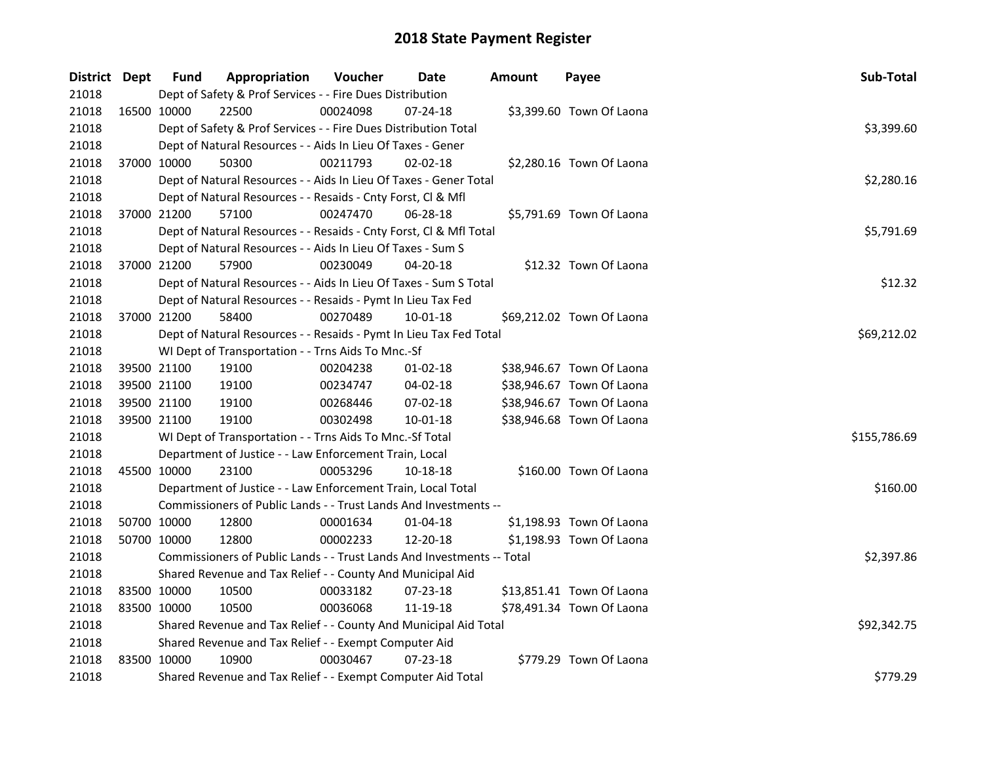| District Dept |             | <b>Fund</b> | Appropriation                                                          | Voucher  | Date           | <b>Amount</b> | Payee                     | Sub-Total    |
|---------------|-------------|-------------|------------------------------------------------------------------------|----------|----------------|---------------|---------------------------|--------------|
| 21018         |             |             | Dept of Safety & Prof Services - - Fire Dues Distribution              |          |                |               |                           |              |
| 21018         | 16500 10000 |             | 22500                                                                  | 00024098 | 07-24-18       |               | \$3,399.60 Town Of Laona  |              |
| 21018         |             |             | Dept of Safety & Prof Services - - Fire Dues Distribution Total        |          |                |               |                           | \$3,399.60   |
| 21018         |             |             | Dept of Natural Resources - - Aids In Lieu Of Taxes - Gener            |          |                |               |                           |              |
| 21018         | 37000 10000 |             | 50300                                                                  | 00211793 | $02 - 02 - 18$ |               | \$2,280.16 Town Of Laona  |              |
| 21018         |             |             | Dept of Natural Resources - - Aids In Lieu Of Taxes - Gener Total      |          |                |               |                           | \$2,280.16   |
| 21018         |             |             | Dept of Natural Resources - - Resaids - Cnty Forst, Cl & Mfl           |          |                |               |                           |              |
| 21018         |             | 37000 21200 | 57100                                                                  | 00247470 | 06-28-18       |               | \$5,791.69 Town Of Laona  |              |
| 21018         |             |             | Dept of Natural Resources - - Resaids - Cnty Forst, Cl & Mfl Total     |          |                |               |                           | \$5,791.69   |
| 21018         |             |             | Dept of Natural Resources - - Aids In Lieu Of Taxes - Sum S            |          |                |               |                           |              |
| 21018         | 37000 21200 |             | 57900                                                                  | 00230049 | 04-20-18       |               | \$12.32 Town Of Laona     |              |
| 21018         |             |             | Dept of Natural Resources - - Aids In Lieu Of Taxes - Sum S Total      |          |                |               |                           | \$12.32      |
| 21018         |             |             | Dept of Natural Resources - - Resaids - Pymt In Lieu Tax Fed           |          |                |               |                           |              |
| 21018         | 37000 21200 |             | 58400                                                                  | 00270489 | 10-01-18       |               | \$69,212.02 Town Of Laona |              |
| 21018         |             |             | Dept of Natural Resources - - Resaids - Pymt In Lieu Tax Fed Total     |          |                |               |                           | \$69,212.02  |
| 21018         |             |             | WI Dept of Transportation - - Trns Aids To Mnc.-Sf                     |          |                |               |                           |              |
| 21018         | 39500 21100 |             | 19100                                                                  | 00204238 | $01-02-18$     |               | \$38,946.67 Town Of Laona |              |
| 21018         | 39500 21100 |             | 19100                                                                  | 00234747 | 04-02-18       |               | \$38,946.67 Town Of Laona |              |
| 21018         | 39500 21100 |             | 19100                                                                  | 00268446 | 07-02-18       |               | \$38,946.67 Town Of Laona |              |
| 21018         | 39500 21100 |             | 19100                                                                  | 00302498 | 10-01-18       |               | \$38,946.68 Town Of Laona |              |
| 21018         |             |             | WI Dept of Transportation - - Trns Aids To Mnc.-Sf Total               |          |                |               |                           | \$155,786.69 |
| 21018         |             |             | Department of Justice - - Law Enforcement Train, Local                 |          |                |               |                           |              |
| 21018         | 45500 10000 |             | 23100                                                                  | 00053296 | 10-18-18       |               | \$160.00 Town Of Laona    |              |
| 21018         |             |             | Department of Justice - - Law Enforcement Train, Local Total           |          |                |               |                           | \$160.00     |
| 21018         |             |             | Commissioners of Public Lands - - Trust Lands And Investments --       |          |                |               |                           |              |
| 21018         | 50700 10000 |             | 12800                                                                  | 00001634 | $01 - 04 - 18$ |               | \$1,198.93 Town Of Laona  |              |
| 21018         | 50700 10000 |             | 12800                                                                  | 00002233 | 12-20-18       |               | \$1,198.93 Town Of Laona  |              |
| 21018         |             |             | Commissioners of Public Lands - - Trust Lands And Investments -- Total |          |                |               |                           | \$2,397.86   |
| 21018         |             |             | Shared Revenue and Tax Relief - - County And Municipal Aid             |          |                |               |                           |              |
| 21018         | 83500 10000 |             | 10500                                                                  | 00033182 | 07-23-18       |               | \$13,851.41 Town Of Laona |              |
| 21018         | 83500 10000 |             | 10500                                                                  | 00036068 | 11-19-18       |               | \$78,491.34 Town Of Laona |              |
| 21018         |             |             | Shared Revenue and Tax Relief - - County And Municipal Aid Total       |          |                |               |                           | \$92,342.75  |
| 21018         |             |             | Shared Revenue and Tax Relief - - Exempt Computer Aid                  |          |                |               |                           |              |
| 21018         | 83500 10000 |             | 10900                                                                  | 00030467 | $07 - 23 - 18$ |               | \$779.29 Town Of Laona    |              |
| 21018         |             |             | Shared Revenue and Tax Relief - - Exempt Computer Aid Total            |          |                |               |                           | \$779.29     |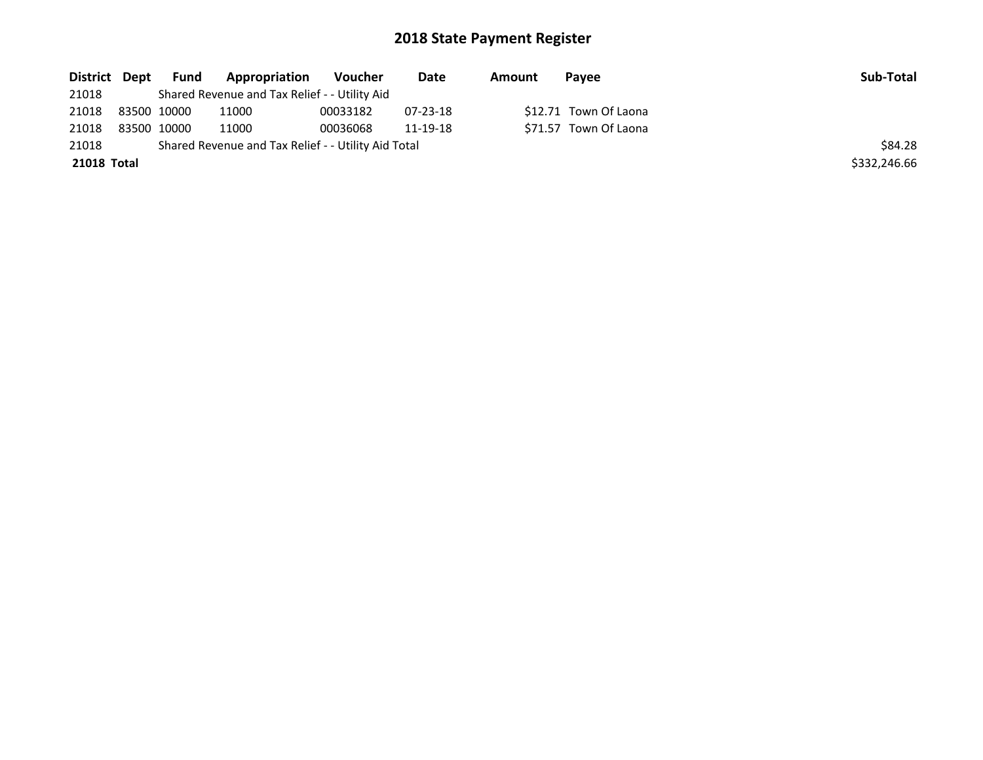| District Dept | Fund        | Appropriation                                       | Voucher  | Date     | Amount | Pavee                 | Sub-Total    |
|---------------|-------------|-----------------------------------------------------|----------|----------|--------|-----------------------|--------------|
| 21018         |             | Shared Revenue and Tax Relief - - Utility Aid       |          |          |        |                       |              |
| 21018         | 83500 10000 | 11000                                               | 00033182 | 07-23-18 |        | \$12.71 Town Of Laona |              |
| 21018         | 83500 10000 | 11000                                               | 00036068 | 11-19-18 |        | \$71.57 Town Of Laona |              |
| 21018         |             | Shared Revenue and Tax Relief - - Utility Aid Total |          |          |        |                       | \$84.28      |
| 21018 Total   |             |                                                     |          |          |        |                       | \$332,246.66 |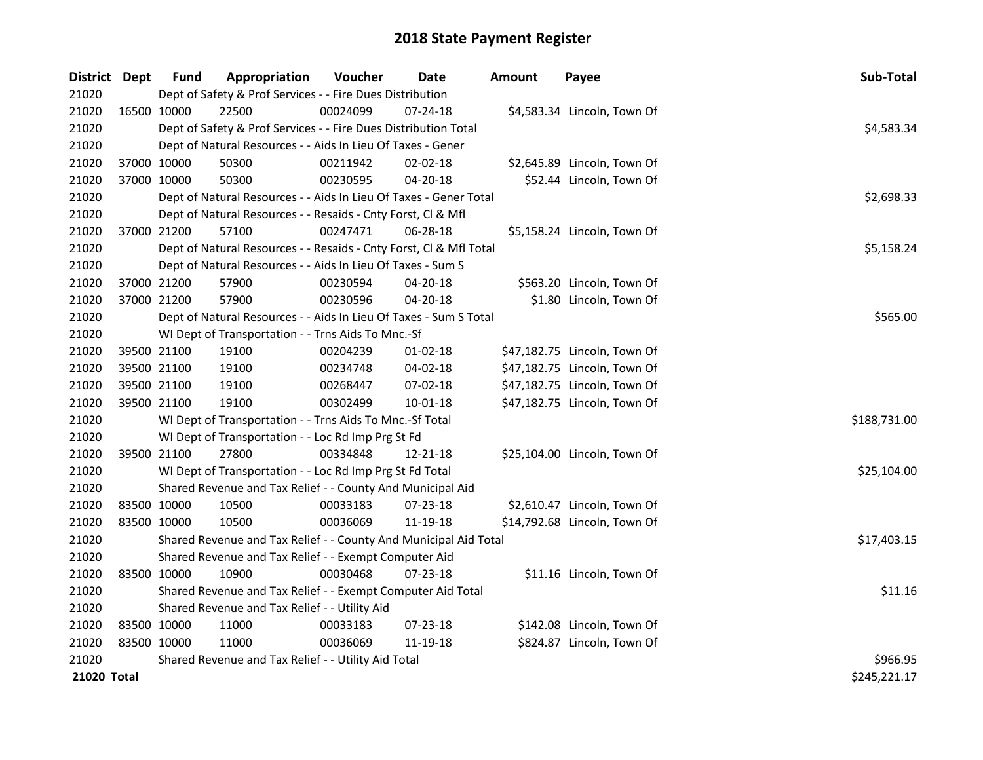| District Dept | <b>Fund</b>                                   | Appropriation                                                      | Voucher    | Date           | <b>Amount</b> | Payee                        | Sub-Total    |
|---------------|-----------------------------------------------|--------------------------------------------------------------------|------------|----------------|---------------|------------------------------|--------------|
| 21020         |                                               | Dept of Safety & Prof Services - - Fire Dues Distribution          |            |                |               |                              |              |
| 21020         | 16500 10000                                   | 22500                                                              | 00024099   | 07-24-18       |               | \$4,583.34 Lincoln, Town Of  |              |
| 21020         |                                               | Dept of Safety & Prof Services - - Fire Dues Distribution Total    |            |                |               |                              | \$4,583.34   |
| 21020         |                                               | Dept of Natural Resources - - Aids In Lieu Of Taxes - Gener        |            |                |               |                              |              |
| 21020         | 37000 10000                                   | 50300                                                              | 00211942   | 02-02-18       |               | \$2,645.89 Lincoln, Town Of  |              |
| 21020         | 37000 10000                                   | 50300                                                              | 00230595   | $04 - 20 - 18$ |               | \$52.44 Lincoln, Town Of     |              |
| 21020         |                                               | Dept of Natural Resources - - Aids In Lieu Of Taxes - Gener Total  | \$2,698.33 |                |               |                              |              |
| 21020         |                                               | Dept of Natural Resources - - Resaids - Cnty Forst, Cl & Mfl       |            |                |               |                              |              |
| 21020         | 37000 21200                                   | 57100                                                              | 00247471   | 06-28-18       |               | \$5,158.24 Lincoln, Town Of  |              |
| 21020         |                                               | Dept of Natural Resources - - Resaids - Cnty Forst, Cl & Mfl Total |            |                |               |                              | \$5,158.24   |
| 21020         |                                               | Dept of Natural Resources - - Aids In Lieu Of Taxes - Sum S        |            |                |               |                              |              |
| 21020         | 37000 21200                                   | 57900                                                              | 00230594   | 04-20-18       |               | \$563.20 Lincoln, Town Of    |              |
| 21020         | 37000 21200                                   | 57900                                                              | 00230596   | 04-20-18       |               | \$1.80 Lincoln, Town Of      |              |
| 21020         |                                               | Dept of Natural Resources - - Aids In Lieu Of Taxes - Sum S Total  |            |                |               |                              | \$565.00     |
| 21020         |                                               | WI Dept of Transportation - - Trns Aids To Mnc.-Sf                 |            |                |               |                              |              |
| 21020         | 39500 21100                                   | 19100                                                              | 00204239   | $01 - 02 - 18$ |               | \$47,182.75 Lincoln, Town Of |              |
| 21020         | 39500 21100                                   | 19100                                                              | 00234748   | 04-02-18       |               | \$47,182.75 Lincoln, Town Of |              |
| 21020         | 39500 21100                                   | 19100                                                              | 00268447   | 07-02-18       |               | \$47,182.75 Lincoln, Town Of |              |
| 21020         | 39500 21100                                   | 19100                                                              | 00302499   | $10 - 01 - 18$ |               | \$47,182.75 Lincoln, Town Of |              |
| 21020         |                                               | WI Dept of Transportation - - Trns Aids To Mnc.-Sf Total           |            |                |               |                              | \$188,731.00 |
| 21020         |                                               | WI Dept of Transportation - - Loc Rd Imp Prg St Fd                 |            |                |               |                              |              |
| 21020         | 39500 21100                                   | 27800                                                              | 00334848   | 12-21-18       |               | \$25,104.00 Lincoln, Town Of |              |
| 21020         |                                               | WI Dept of Transportation - - Loc Rd Imp Prg St Fd Total           |            |                |               |                              | \$25,104.00  |
| 21020         |                                               | Shared Revenue and Tax Relief - - County And Municipal Aid         |            |                |               |                              |              |
| 21020         | 83500 10000                                   | 10500                                                              | 00033183   | 07-23-18       |               | \$2,610.47 Lincoln, Town Of  |              |
| 21020         | 83500 10000                                   | 10500                                                              | 00036069   | 11-19-18       |               | \$14,792.68 Lincoln, Town Of |              |
| 21020         |                                               | Shared Revenue and Tax Relief - - County And Municipal Aid Total   |            |                |               |                              | \$17,403.15  |
| 21020         |                                               | Shared Revenue and Tax Relief - - Exempt Computer Aid              |            |                |               |                              |              |
| 21020         | 83500 10000                                   | 10900                                                              | 00030468   | 07-23-18       |               | \$11.16 Lincoln, Town Of     |              |
| 21020         |                                               | Shared Revenue and Tax Relief - - Exempt Computer Aid Total        |            |                |               |                              | \$11.16      |
| 21020         | Shared Revenue and Tax Relief - - Utility Aid |                                                                    |            |                |               |                              |              |
| 21020         | 83500 10000                                   | 11000                                                              | 00033183   | 07-23-18       |               | \$142.08 Lincoln, Town Of    |              |
| 21020         | 83500 10000                                   | 11000                                                              | 00036069   | 11-19-18       |               | \$824.87 Lincoln, Town Of    |              |
| 21020         |                                               | Shared Revenue and Tax Relief - - Utility Aid Total                |            |                |               |                              | \$966.95     |
| 21020 Total   |                                               |                                                                    |            |                |               |                              | \$245,221.17 |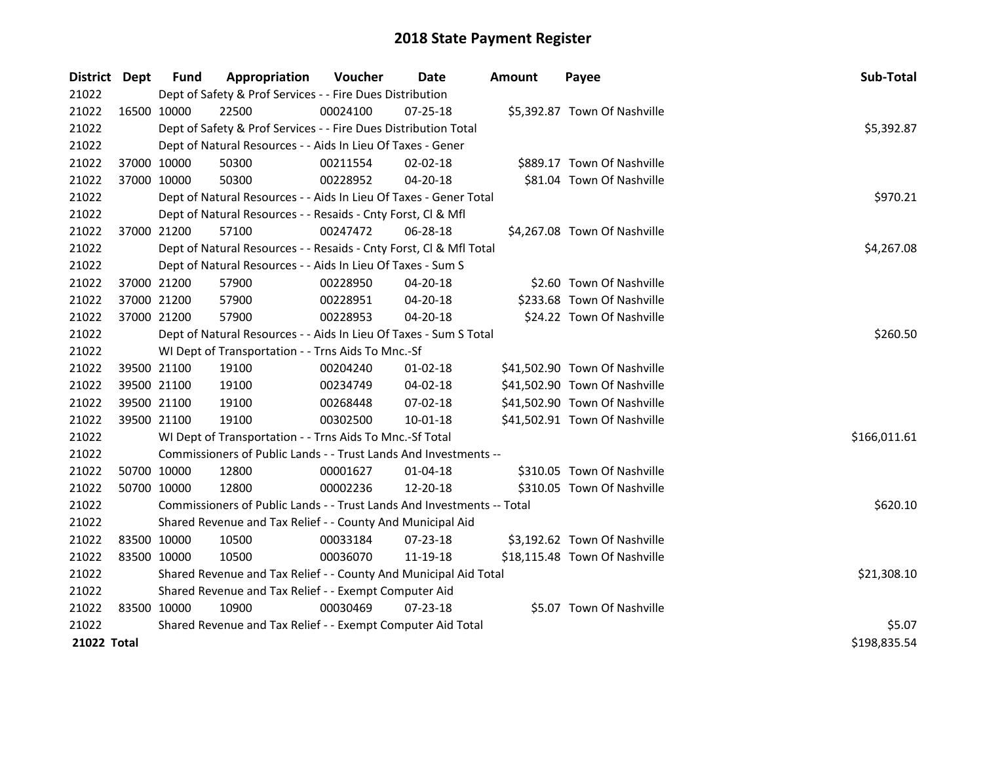| District Dept      | <b>Fund</b> | Appropriation                                                          | Voucher     | Date           | <b>Amount</b> | Payee                         | Sub-Total    |
|--------------------|-------------|------------------------------------------------------------------------|-------------|----------------|---------------|-------------------------------|--------------|
| 21022              |             | Dept of Safety & Prof Services - - Fire Dues Distribution              |             |                |               |                               |              |
| 21022              | 16500 10000 | 22500                                                                  | 00024100    | 07-25-18       |               | \$5,392.87 Town Of Nashville  |              |
| 21022              |             | Dept of Safety & Prof Services - - Fire Dues Distribution Total        |             |                |               |                               | \$5,392.87   |
| 21022              |             | Dept of Natural Resources - - Aids In Lieu Of Taxes - Gener            |             |                |               |                               |              |
| 21022              | 37000 10000 | 50300                                                                  | 00211554    | 02-02-18       |               | \$889.17 Town Of Nashville    |              |
| 21022              | 37000 10000 | 50300                                                                  | 00228952    | 04-20-18       |               | \$81.04 Town Of Nashville     |              |
| 21022              |             | Dept of Natural Resources - - Aids In Lieu Of Taxes - Gener Total      |             |                |               |                               | \$970.21     |
| 21022              |             | Dept of Natural Resources - - Resaids - Cnty Forst, Cl & Mfl           |             |                |               |                               |              |
| 21022              | 37000 21200 | 57100                                                                  | 00247472    | 06-28-18       |               | \$4,267.08 Town Of Nashville  |              |
| 21022              |             | Dept of Natural Resources - - Resaids - Cnty Forst, Cl & Mfl Total     |             |                |               |                               | \$4,267.08   |
| 21022              |             | Dept of Natural Resources - - Aids In Lieu Of Taxes - Sum S            |             |                |               |                               |              |
| 21022              | 37000 21200 | 57900                                                                  | 00228950    | 04-20-18       |               | \$2.60 Town Of Nashville      |              |
| 21022              | 37000 21200 | 57900                                                                  | 00228951    | 04-20-18       |               | \$233.68 Town Of Nashville    |              |
| 21022              | 37000 21200 | 57900                                                                  | 00228953    | 04-20-18       |               | \$24.22 Town Of Nashville     |              |
| 21022              |             | Dept of Natural Resources - - Aids In Lieu Of Taxes - Sum S Total      | \$260.50    |                |               |                               |              |
| 21022              |             | WI Dept of Transportation - - Trns Aids To Mnc.-Sf                     |             |                |               |                               |              |
| 21022              | 39500 21100 | 19100                                                                  | 00204240    | $01 - 02 - 18$ |               | \$41,502.90 Town Of Nashville |              |
| 21022              | 39500 21100 | 19100                                                                  | 00234749    | 04-02-18       |               | \$41,502.90 Town Of Nashville |              |
| 21022              | 39500 21100 | 19100                                                                  | 00268448    | 07-02-18       |               | \$41,502.90 Town Of Nashville |              |
| 21022              | 39500 21100 | 19100                                                                  | 00302500    | $10 - 01 - 18$ |               | \$41,502.91 Town Of Nashville |              |
| 21022              |             | WI Dept of Transportation - - Trns Aids To Mnc.-Sf Total               |             |                |               |                               | \$166,011.61 |
| 21022              |             | Commissioners of Public Lands - - Trust Lands And Investments --       |             |                |               |                               |              |
| 21022              | 50700 10000 | 12800                                                                  | 00001627    | $01 - 04 - 18$ |               | \$310.05 Town Of Nashville    |              |
| 21022              | 50700 10000 | 12800                                                                  | 00002236    | 12-20-18       |               | \$310.05 Town Of Nashville    |              |
| 21022              |             | Commissioners of Public Lands - - Trust Lands And Investments -- Total |             |                |               |                               | \$620.10     |
| 21022              |             | Shared Revenue and Tax Relief - - County And Municipal Aid             |             |                |               |                               |              |
| 21022              | 83500 10000 | 10500                                                                  | 00033184    | $07 - 23 - 18$ |               | \$3,192.62 Town Of Nashville  |              |
| 21022              | 83500 10000 | 10500                                                                  | 00036070    | 11-19-18       |               | \$18,115.48 Town Of Nashville |              |
| 21022              |             | Shared Revenue and Tax Relief - - County And Municipal Aid Total       | \$21,308.10 |                |               |                               |              |
| 21022              |             | Shared Revenue and Tax Relief - - Exempt Computer Aid                  |             |                |               |                               |              |
| 21022              | 83500 10000 | 10900                                                                  | 00030469    | 07-23-18       |               | \$5.07 Town Of Nashville      |              |
| 21022              |             | Shared Revenue and Tax Relief - - Exempt Computer Aid Total            |             |                |               |                               | \$5.07       |
| <b>21022 Total</b> |             |                                                                        |             |                |               |                               | \$198,835.54 |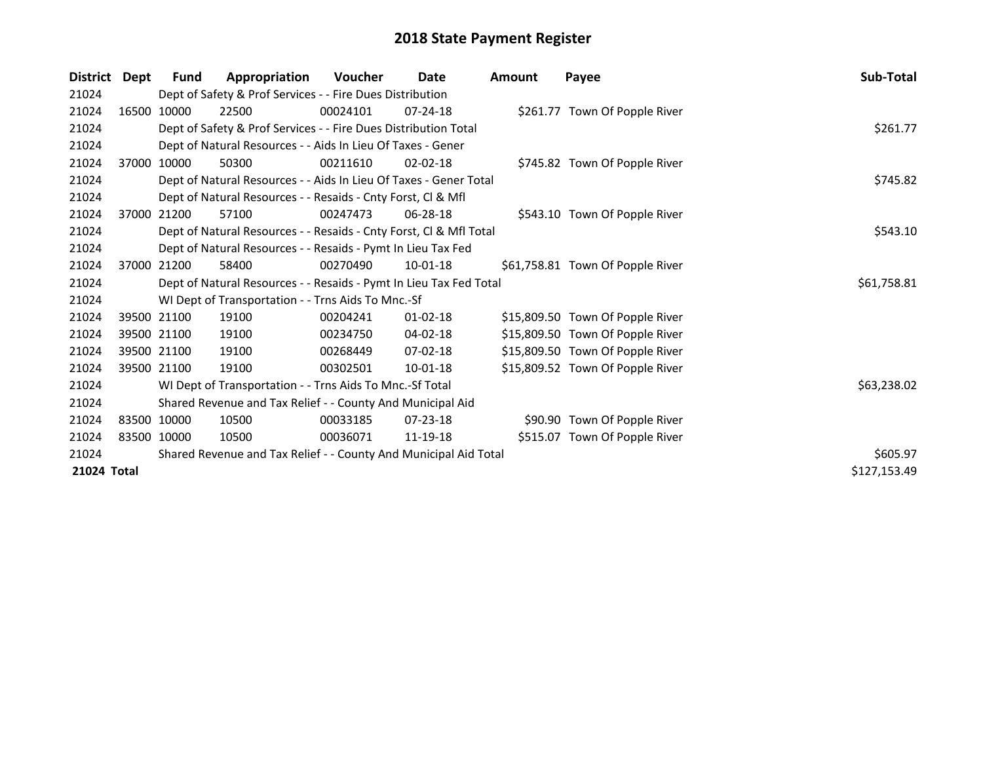| <b>District</b> | Dept  | Fund        | Appropriation                                                      | <b>Voucher</b> | Date           | Amount | Payee                            | Sub-Total    |
|-----------------|-------|-------------|--------------------------------------------------------------------|----------------|----------------|--------|----------------------------------|--------------|
| 21024           |       |             | Dept of Safety & Prof Services - - Fire Dues Distribution          |                |                |        |                                  |              |
| 21024           |       | 16500 10000 | 22500                                                              | 00024101       | $07 - 24 - 18$ |        | \$261.77 Town Of Popple River    |              |
| 21024           |       |             | Dept of Safety & Prof Services - - Fire Dues Distribution Total    |                | \$261.77       |        |                                  |              |
| 21024           |       |             | Dept of Natural Resources - - Aids In Lieu Of Taxes - Gener        |                |                |        |                                  |              |
| 21024           |       | 37000 10000 | 50300                                                              | 00211610       | $02 - 02 - 18$ |        | \$745.82 Town Of Popple River    |              |
| 21024           |       |             | Dept of Natural Resources - - Aids In Lieu Of Taxes - Gener Total  |                |                |        |                                  | \$745.82     |
| 21024           |       |             | Dept of Natural Resources - - Resaids - Cnty Forst, Cl & Mfl       |                |                |        |                                  |              |
| 21024           | 37000 | 21200       | 57100                                                              | 00247473       | $06 - 28 - 18$ |        | \$543.10 Town Of Popple River    |              |
| 21024           |       |             | Dept of Natural Resources - - Resaids - Cnty Forst, Cl & Mfl Total |                |                |        |                                  | \$543.10     |
| 21024           |       |             | Dept of Natural Resources - - Resaids - Pymt In Lieu Tax Fed       |                |                |        |                                  |              |
| 21024           |       | 37000 21200 | 58400                                                              | 00270490       | $10-01-18$     |        | \$61,758.81 Town Of Popple River |              |
| 21024           |       |             | Dept of Natural Resources - - Resaids - Pymt In Lieu Tax Fed Total |                |                |        |                                  | \$61,758.81  |
| 21024           |       |             | WI Dept of Transportation - - Trns Aids To Mnc.-Sf                 |                |                |        |                                  |              |
| 21024           |       | 39500 21100 | 19100                                                              | 00204241       | $01 - 02 - 18$ |        | \$15,809.50 Town Of Popple River |              |
| 21024           |       | 39500 21100 | 19100                                                              | 00234750       | 04-02-18       |        | \$15,809.50 Town Of Popple River |              |
| 21024           |       | 39500 21100 | 19100                                                              | 00268449       | $07 - 02 - 18$ |        | \$15,809.50 Town Of Popple River |              |
| 21024           |       | 39500 21100 | 19100                                                              | 00302501       | $10-01-18$     |        | \$15,809.52 Town Of Popple River |              |
| 21024           |       |             | WI Dept of Transportation - - Trns Aids To Mnc.-Sf Total           |                |                |        |                                  | \$63,238.02  |
| 21024           |       |             | Shared Revenue and Tax Relief - - County And Municipal Aid         |                |                |        |                                  |              |
| 21024           |       | 83500 10000 | 10500                                                              | 00033185       | $07 - 23 - 18$ |        | \$90.90 Town Of Popple River     |              |
| 21024           |       | 83500 10000 | 10500                                                              | 00036071       | 11-19-18       |        | \$515.07 Town Of Popple River    |              |
| 21024           |       |             | Shared Revenue and Tax Relief - - County And Municipal Aid Total   |                | \$605.97       |        |                                  |              |
| 21024 Total     |       |             |                                                                    |                |                |        |                                  | \$127,153.49 |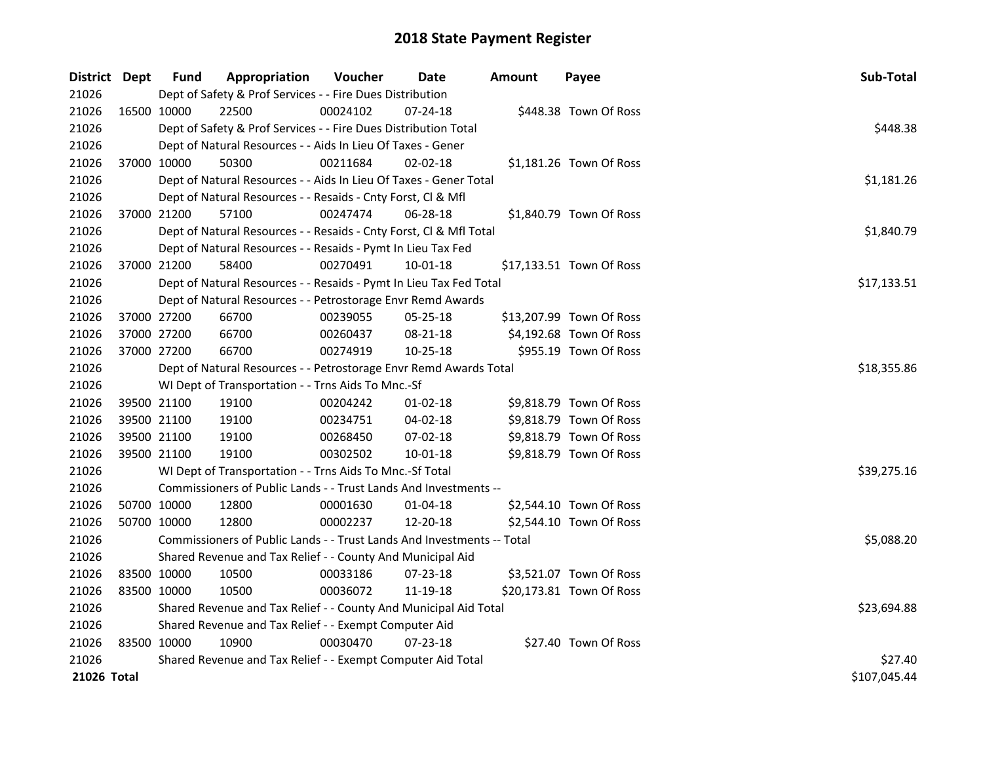| District Dept |             | <b>Fund</b>                                                            | Appropriation                                                      | Voucher  | Date           | <b>Amount</b> | Payee                    | Sub-Total    |
|---------------|-------------|------------------------------------------------------------------------|--------------------------------------------------------------------|----------|----------------|---------------|--------------------------|--------------|
| 21026         |             | Dept of Safety & Prof Services - - Fire Dues Distribution              |                                                                    |          |                |               |                          |              |
| 21026         |             | 16500 10000                                                            | 22500                                                              | 00024102 | $07 - 24 - 18$ |               | \$448.38 Town Of Ross    |              |
| 21026         |             | Dept of Safety & Prof Services - - Fire Dues Distribution Total        | \$448.38                                                           |          |                |               |                          |              |
| 21026         |             | Dept of Natural Resources - - Aids In Lieu Of Taxes - Gener            |                                                                    |          |                |               |                          |              |
| 21026         | 37000 10000 |                                                                        | 50300                                                              | 00211684 | $02 - 02 - 18$ |               | \$1,181.26 Town Of Ross  |              |
| 21026         |             |                                                                        | Dept of Natural Resources - - Aids In Lieu Of Taxes - Gener Total  |          |                |               |                          | \$1,181.26   |
| 21026         |             |                                                                        | Dept of Natural Resources - - Resaids - Cnty Forst, Cl & Mfl       |          |                |               |                          |              |
| 21026         |             | 37000 21200                                                            | 57100                                                              | 00247474 | 06-28-18       |               | \$1,840.79 Town Of Ross  |              |
| 21026         |             |                                                                        | Dept of Natural Resources - - Resaids - Cnty Forst, Cl & Mfl Total |          |                |               |                          | \$1,840.79   |
| 21026         |             |                                                                        | Dept of Natural Resources - - Resaids - Pymt In Lieu Tax Fed       |          |                |               |                          |              |
| 21026         | 37000 21200 |                                                                        | 58400                                                              | 00270491 | 10-01-18       |               | \$17,133.51 Town Of Ross |              |
| 21026         |             |                                                                        | Dept of Natural Resources - - Resaids - Pymt In Lieu Tax Fed Total |          |                |               |                          | \$17,133.51  |
| 21026         |             |                                                                        | Dept of Natural Resources - - Petrostorage Envr Remd Awards        |          |                |               |                          |              |
| 21026         | 37000 27200 |                                                                        | 66700                                                              | 00239055 | 05-25-18       |               | \$13,207.99 Town Of Ross |              |
| 21026         | 37000 27200 |                                                                        | 66700                                                              | 00260437 | 08-21-18       |               | \$4,192.68 Town Of Ross  |              |
| 21026         | 37000 27200 |                                                                        | 66700                                                              | 00274919 | 10-25-18       |               | \$955.19 Town Of Ross    |              |
| 21026         |             | Dept of Natural Resources - - Petrostorage Envr Remd Awards Total      | \$18,355.86                                                        |          |                |               |                          |              |
| 21026         |             | WI Dept of Transportation - - Trns Aids To Mnc.-Sf                     |                                                                    |          |                |               |                          |              |
| 21026         |             | 39500 21100                                                            | 19100                                                              | 00204242 | $01 - 02 - 18$ |               | \$9,818.79 Town Of Ross  |              |
| 21026         |             | 39500 21100                                                            | 19100                                                              | 00234751 | 04-02-18       |               | \$9,818.79 Town Of Ross  |              |
| 21026         | 39500 21100 |                                                                        | 19100                                                              | 00268450 | 07-02-18       |               | \$9,818.79 Town Of Ross  |              |
| 21026         |             | 39500 21100                                                            | 19100                                                              | 00302502 | $10 - 01 - 18$ |               | \$9,818.79 Town Of Ross  |              |
| 21026         |             | WI Dept of Transportation - - Trns Aids To Mnc.-Sf Total               | \$39,275.16                                                        |          |                |               |                          |              |
| 21026         |             | Commissioners of Public Lands - - Trust Lands And Investments --       |                                                                    |          |                |               |                          |              |
| 21026         |             | 50700 10000                                                            | 12800                                                              | 00001630 | 01-04-18       |               | \$2,544.10 Town Of Ross  |              |
| 21026         |             | 50700 10000                                                            | 12800                                                              | 00002237 | 12-20-18       |               | \$2,544.10 Town Of Ross  |              |
| 21026         |             | Commissioners of Public Lands - - Trust Lands And Investments -- Total | \$5,088.20                                                         |          |                |               |                          |              |
| 21026         |             | Shared Revenue and Tax Relief - - County And Municipal Aid             |                                                                    |          |                |               |                          |              |
| 21026         |             | 83500 10000                                                            | 10500                                                              | 00033186 | 07-23-18       |               | \$3,521.07 Town Of Ross  |              |
| 21026         | 83500 10000 |                                                                        | 10500                                                              | 00036072 | 11-19-18       |               | \$20,173.81 Town Of Ross |              |
| 21026         |             | Shared Revenue and Tax Relief - - County And Municipal Aid Total       | \$23,694.88                                                        |          |                |               |                          |              |
| 21026         |             | Shared Revenue and Tax Relief - - Exempt Computer Aid                  |                                                                    |          |                |               |                          |              |
| 21026         | 83500 10000 |                                                                        | 10900                                                              | 00030470 | 07-23-18       |               | \$27.40 Town Of Ross     |              |
| 21026         |             |                                                                        | Shared Revenue and Tax Relief - - Exempt Computer Aid Total        |          |                |               |                          | \$27.40      |
| 21026 Total   |             |                                                                        |                                                                    |          |                |               |                          | \$107,045.44 |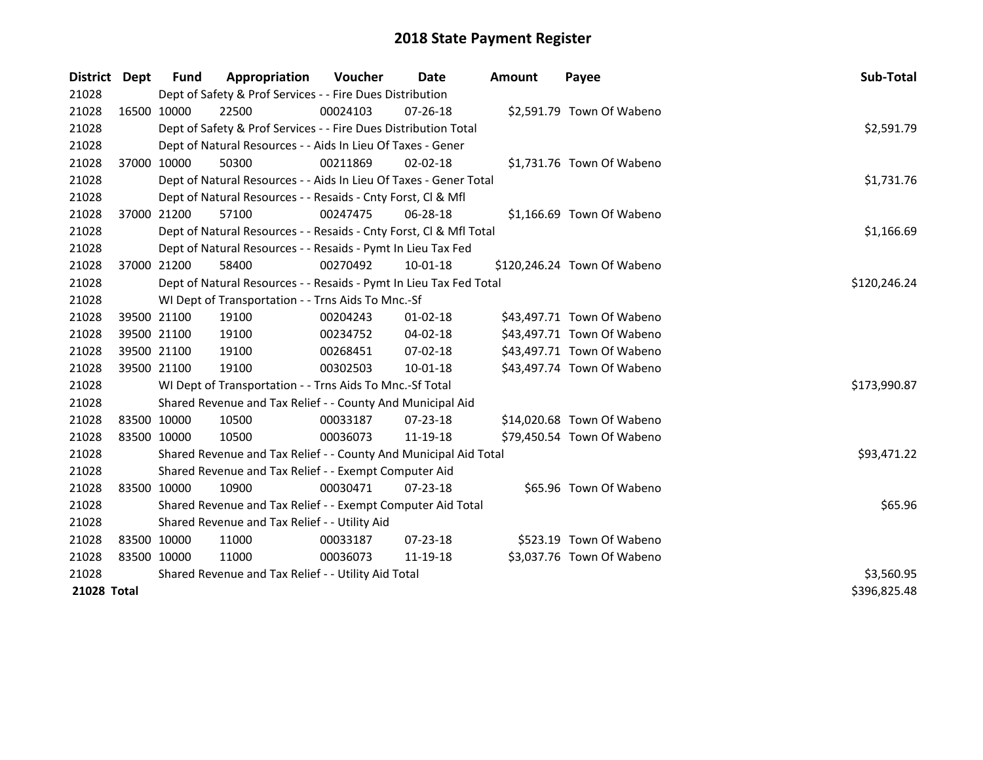| District    | <b>Dept</b> | Fund                                                        | Appropriation                                                      | <b>Voucher</b> | Date           | <b>Amount</b> | Payee                       | Sub-Total    |
|-------------|-------------|-------------------------------------------------------------|--------------------------------------------------------------------|----------------|----------------|---------------|-----------------------------|--------------|
| 21028       |             | Dept of Safety & Prof Services - - Fire Dues Distribution   |                                                                    |                |                |               |                             |              |
| 21028       |             | 16500 10000                                                 | 22500                                                              | 00024103       | 07-26-18       |               | \$2,591.79 Town Of Wabeno   |              |
| 21028       |             |                                                             | Dept of Safety & Prof Services - - Fire Dues Distribution Total    |                |                |               |                             | \$2,591.79   |
| 21028       |             |                                                             | Dept of Natural Resources - - Aids In Lieu Of Taxes - Gener        |                |                |               |                             |              |
| 21028       | 37000 10000 |                                                             | 50300                                                              | 00211869       | $02 - 02 - 18$ |               | \$1,731.76 Town Of Wabeno   |              |
| 21028       |             |                                                             | Dept of Natural Resources - - Aids In Lieu Of Taxes - Gener Total  |                |                |               |                             | \$1,731.76   |
| 21028       |             |                                                             | Dept of Natural Resources - - Resaids - Cnty Forst, Cl & Mfl       |                |                |               |                             |              |
| 21028       |             | 37000 21200                                                 | 57100                                                              | 00247475       | 06-28-18       |               | \$1,166.69 Town Of Wabeno   |              |
| 21028       |             |                                                             | Dept of Natural Resources - - Resaids - Cnty Forst, Cl & Mfl Total |                |                |               |                             | \$1,166.69   |
| 21028       |             |                                                             | Dept of Natural Resources - - Resaids - Pymt In Lieu Tax Fed       |                |                |               |                             |              |
| 21028       |             | 37000 21200                                                 | 58400                                                              | 00270492       | 10-01-18       |               | \$120,246.24 Town Of Wabeno |              |
| 21028       |             |                                                             | Dept of Natural Resources - - Resaids - Pymt In Lieu Tax Fed Total |                |                |               |                             | \$120,246.24 |
| 21028       |             |                                                             | WI Dept of Transportation - - Trns Aids To Mnc.-Sf                 |                |                |               |                             |              |
| 21028       |             | 39500 21100                                                 | 19100                                                              | 00204243       | $01 - 02 - 18$ |               | \$43,497.71 Town Of Wabeno  |              |
| 21028       |             | 39500 21100                                                 | 19100                                                              | 00234752       | 04-02-18       |               | \$43,497.71 Town Of Wabeno  |              |
| 21028       |             | 39500 21100                                                 | 19100                                                              | 00268451       | 07-02-18       |               | \$43,497.71 Town Of Wabeno  |              |
| 21028       |             | 39500 21100                                                 | 19100                                                              | 00302503       | 10-01-18       |               | \$43,497.74 Town Of Wabeno  |              |
| 21028       |             |                                                             | WI Dept of Transportation - - Trns Aids To Mnc.-Sf Total           |                |                |               |                             | \$173,990.87 |
| 21028       |             | Shared Revenue and Tax Relief - - County And Municipal Aid  |                                                                    |                |                |               |                             |              |
| 21028       | 83500 10000 |                                                             | 10500                                                              | 00033187       | $07 - 23 - 18$ |               | \$14,020.68 Town Of Wabeno  |              |
| 21028       | 83500 10000 |                                                             | 10500                                                              | 00036073       | 11-19-18       |               | \$79,450.54 Town Of Wabeno  |              |
| 21028       |             |                                                             | Shared Revenue and Tax Relief - - County And Municipal Aid Total   |                |                |               |                             | \$93,471.22  |
| 21028       |             | Shared Revenue and Tax Relief - - Exempt Computer Aid       |                                                                    |                |                |               |                             |              |
| 21028       |             | 83500 10000                                                 | 10900                                                              | 00030471       | $07 - 23 - 18$ |               | \$65.96 Town Of Wabeno      |              |
| 21028       |             | Shared Revenue and Tax Relief - - Exempt Computer Aid Total | \$65.96                                                            |                |                |               |                             |              |
| 21028       |             | Shared Revenue and Tax Relief - - Utility Aid               |                                                                    |                |                |               |                             |              |
| 21028       |             | 83500 10000                                                 | 11000                                                              | 00033187       | 07-23-18       |               | \$523.19 Town Of Wabeno     |              |
| 21028       | 83500 10000 |                                                             | 11000                                                              | 00036073       | 11-19-18       |               | \$3,037.76 Town Of Wabeno   |              |
| 21028       |             | Shared Revenue and Tax Relief - - Utility Aid Total         | \$3,560.95                                                         |                |                |               |                             |              |
| 21028 Total |             |                                                             |                                                                    |                |                |               |                             | \$396,825.48 |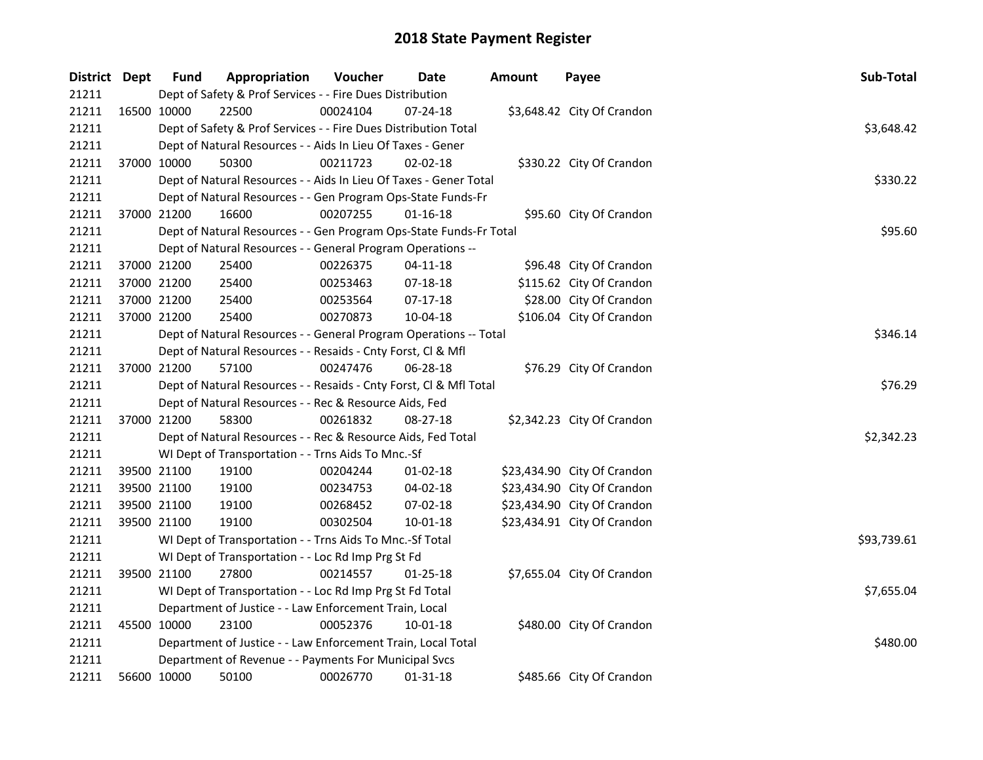| District Dept |             | <b>Fund</b>                                                     | Appropriation                                                      | Voucher    | Date           | <b>Amount</b> | Payee                       | Sub-Total   |
|---------------|-------------|-----------------------------------------------------------------|--------------------------------------------------------------------|------------|----------------|---------------|-----------------------------|-------------|
| 21211         |             |                                                                 | Dept of Safety & Prof Services - - Fire Dues Distribution          |            |                |               |                             |             |
| 21211         | 16500 10000 |                                                                 | 22500                                                              | 00024104   | $07 - 24 - 18$ |               | \$3,648.42 City Of Crandon  |             |
| 21211         |             | Dept of Safety & Prof Services - - Fire Dues Distribution Total |                                                                    | \$3,648.42 |                |               |                             |             |
| 21211         |             |                                                                 | Dept of Natural Resources - - Aids In Lieu Of Taxes - Gener        |            |                |               |                             |             |
| 21211         |             | 37000 10000                                                     | 50300                                                              | 00211723   | $02 - 02 - 18$ |               | \$330.22 City Of Crandon    |             |
| 21211         |             |                                                                 | Dept of Natural Resources - - Aids In Lieu Of Taxes - Gener Total  |            |                |               |                             | \$330.22    |
| 21211         |             |                                                                 | Dept of Natural Resources - - Gen Program Ops-State Funds-Fr       |            |                |               |                             |             |
| 21211         |             | 37000 21200                                                     | 16600                                                              | 00207255   | $01 - 16 - 18$ |               | \$95.60 City Of Crandon     |             |
| 21211         |             |                                                                 | Dept of Natural Resources - - Gen Program Ops-State Funds-Fr Total |            |                |               |                             | \$95.60     |
| 21211         |             |                                                                 | Dept of Natural Resources - - General Program Operations --        |            |                |               |                             |             |
| 21211         |             | 37000 21200                                                     | 25400                                                              | 00226375   | $04-11-18$     |               | \$96.48 City Of Crandon     |             |
| 21211         |             | 37000 21200                                                     | 25400                                                              | 00253463   | 07-18-18       |               | \$115.62 City Of Crandon    |             |
| 21211         |             | 37000 21200                                                     | 25400                                                              | 00253564   | $07-17-18$     |               | \$28.00 City Of Crandon     |             |
| 21211         |             | 37000 21200                                                     | 25400                                                              | 00270873   | 10-04-18       |               | \$106.04 City Of Crandon    |             |
| 21211         |             |                                                                 | Dept of Natural Resources - - General Program Operations -- Total  |            | \$346.14       |               |                             |             |
| 21211         |             |                                                                 | Dept of Natural Resources - - Resaids - Cnty Forst, Cl & Mfl       |            |                |               |                             |             |
| 21211         |             | 37000 21200                                                     | 57100                                                              | 00247476   | 06-28-18       |               | \$76.29 City Of Crandon     |             |
| 21211         |             |                                                                 | Dept of Natural Resources - - Resaids - Cnty Forst, CI & Mfl Total |            | \$76.29        |               |                             |             |
| 21211         |             |                                                                 | Dept of Natural Resources - - Rec & Resource Aids, Fed             |            |                |               |                             |             |
| 21211         |             | 37000 21200                                                     | 58300                                                              | 00261832   | 08-27-18       |               | \$2,342.23 City Of Crandon  |             |
| 21211         |             | Dept of Natural Resources - - Rec & Resource Aids, Fed Total    |                                                                    | \$2,342.23 |                |               |                             |             |
| 21211         |             | WI Dept of Transportation - - Trns Aids To Mnc.-Sf              |                                                                    |            |                |               |                             |             |
| 21211         |             | 39500 21100                                                     | 19100                                                              | 00204244   | $01-02-18$     |               | \$23,434.90 City Of Crandon |             |
| 21211         |             | 39500 21100                                                     | 19100                                                              | 00234753   | 04-02-18       |               | \$23,434.90 City Of Crandon |             |
| 21211         |             | 39500 21100                                                     | 19100                                                              | 00268452   | 07-02-18       |               | \$23,434.90 City Of Crandon |             |
| 21211         |             | 39500 21100                                                     | 19100                                                              | 00302504   | 10-01-18       |               | \$23,434.91 City Of Crandon |             |
| 21211         |             |                                                                 | WI Dept of Transportation - - Trns Aids To Mnc.-Sf Total           |            |                |               |                             | \$93,739.61 |
| 21211         |             |                                                                 | WI Dept of Transportation - - Loc Rd Imp Prg St Fd                 |            |                |               |                             |             |
| 21211         |             | 39500 21100                                                     | 27800                                                              | 00214557   | $01 - 25 - 18$ |               | \$7,655.04 City Of Crandon  |             |
| 21211         |             |                                                                 | WI Dept of Transportation - - Loc Rd Imp Prg St Fd Total           |            |                |               |                             | \$7,655.04  |
| 21211         |             |                                                                 | Department of Justice - - Law Enforcement Train, Local             |            |                |               |                             |             |
| 21211         |             | 45500 10000                                                     | 23100                                                              | 00052376   | 10-01-18       |               | \$480.00 City Of Crandon    |             |
| 21211         |             |                                                                 | Department of Justice - - Law Enforcement Train, Local Total       |            |                |               |                             | \$480.00    |
| 21211         |             | Department of Revenue - - Payments For Municipal Svcs           |                                                                    |            |                |               |                             |             |
| 21211         |             | 56600 10000                                                     | 50100                                                              | 00026770   | 01-31-18       |               | \$485.66 City Of Crandon    |             |